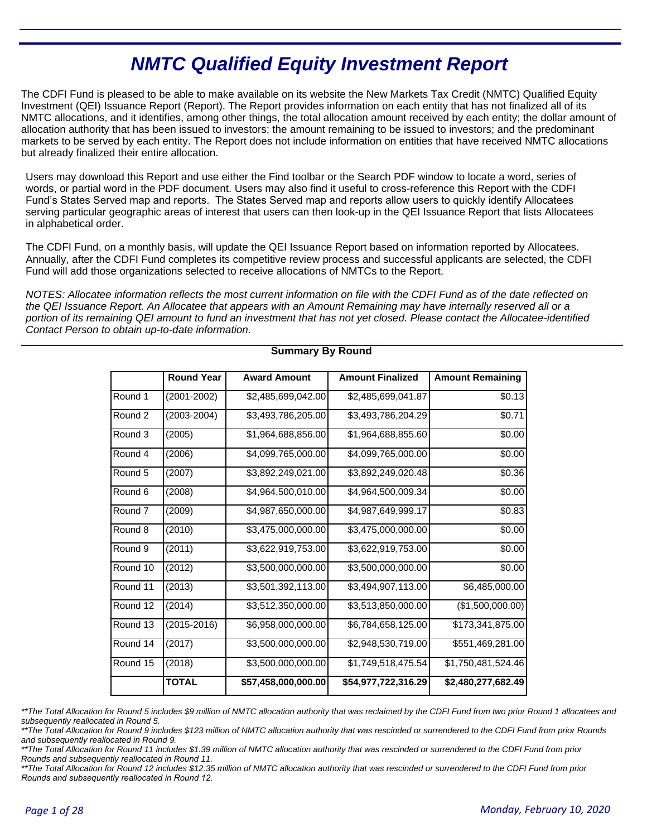# **NMTC Qualified Equity Investment Report**

The CDFI Fund is pleased to be able to make available on its website the New Markets Tax Credit (NMTC) Qualified Equity Investment (QEI) Issuance Report (Report). The Report provides information on each entity that has not finalized all of its NMTC allocations, and it identifies, among other things, the total allocation amount received by each entity; the dollar amount of allocation authority that has been issued to investors; the amount remaining to be issued to investors; and the predominant markets to be served by each entity. The Report does not include information on entities that have received NMTC allocations but already finalized their entire allocation.

Users may download this Report and use either the Find toolbar or the Search PDF window to locate a word, series of words, or partial word in the PDF document. Users may also find it useful to cross-reference this Report with the CDFI Fund's States Served map and reports. The States Served map and reports allow users to quickly identify Allocatees serving particular geographic areas of interest that users can then look-up in the QEI Issuance Report that lists Allocatees in alphabetical order.

The CDFI Fund, on a monthly basis, will update the QEI Issuance Report based on information reported by Allocatees. Annually, after the CDFI Fund completes its competitive review process and successful applicants are selected, the CDFI Fund will add those organizations selected to receive allocations of NMTCs to the Report.

NOTES: Allocatee information reflects the most current information on file with the CDFI Fund as of the date reflected on the QEI Issuance Report. An Allocatee that appears with an Amount Remaining may have internally reserved all or a portion of its remaining QEI amount to fund an investment that has not yet closed. Please contact the Allocatee-identified Contact Person to obtain up-to-date information.

|          | <b>Round Year</b> | <b>Award Amount</b> | <b>Amount Finalized</b> | <b>Amount Remaining</b> |
|----------|-------------------|---------------------|-------------------------|-------------------------|
| Round 1  | $(2001 - 2002)$   | \$2,485,699,042.00  | \$2,485,699,041.87      | \$0.13                  |
| Round 2  | $(2003 - 2004)$   | \$3,493,786,205.00  | \$3,493,786,204.29      | \$0.71                  |
| Round 3  | (2005)            | \$1,964,688,856.00  | \$1,964,688,855.60      | \$0.00                  |
| Round 4  | (2006)            | \$4,099,765,000.00  | \$4,099,765,000.00      | \$0.00                  |
| Round 5  | (2007)            | \$3,892,249,021.00  | \$3,892,249,020.48      | \$0.36                  |
| Round 6  | (2008)            | \$4,964,500,010.00  | \$4,964,500,009.34      | \$0.00                  |
| Round 7  | (2009)            | \$4,987,650,000.00  | \$4,987,649,999.17      | \$0.83                  |
| Round 8  | (2010)            | \$3,475,000,000.00  | \$3,475,000,000.00      | \$0.00                  |
| Round 9  | (2011)            | \$3,622,919,753.00  | \$3,622,919,753.00      | \$0.00                  |
| Round 10 | (2012)            | \$3,500,000,000.00  | \$3,500,000,000.00      | \$0.00                  |
| Round 11 | (2013)            | \$3,501,392,113.00  | \$3,494,907,113.00      | \$6,485,000.00          |
| Round 12 | (2014)            | \$3,512,350,000.00  | \$3,513,850,000.00      | (\$1,500,000.00)        |
| Round 13 | $(2015 - 2016)$   | \$6,958,000,000.00  | \$6,784,658,125.00      | \$173,341,875.00        |
| Round 14 | (2017)            | \$3,500,000,000.00  | \$2,948,530,719.00      | \$551,469,281.00        |
| Round 15 | (2018)            | \$3,500,000,000.00  | \$1,749,518,475.54      | \$1,750,481,524.46      |
|          | <b>TOTAL</b>      | \$57,458,000,000.00 | \$54,977,722,316.29     | \$2,480,277,682.49      |

### **Summary By Round**

\*\*The Total Allocation for Round 5 includes \$9 million of NMTC allocation authority that was reclaimed by the CDFI Fund from two prior Round 1 allocatees and subsequently reallocated in Round 5.

\*\*The Total Allocation for Round 9 includes \$123 million of NMTC allocation authority that was rescinded or surrendered to the CDFI Fund from prior Rounds and subsequently reallocated in Round 9.

\*\*The Total Allocation for Round 11 includes \$1.39 million of NMTC allocation authority that was rescinded or surrendered to the CDFI Fund from prior Rounds and subsequently reallocated in Round 11.

\*\*The Total Allocation for Round 12 includes \$12.35 million of NMTC allocation authority that was rescinded or surrendered to the CDFI Fund from prior *Rounds and subsequently reallocated in Round 12.*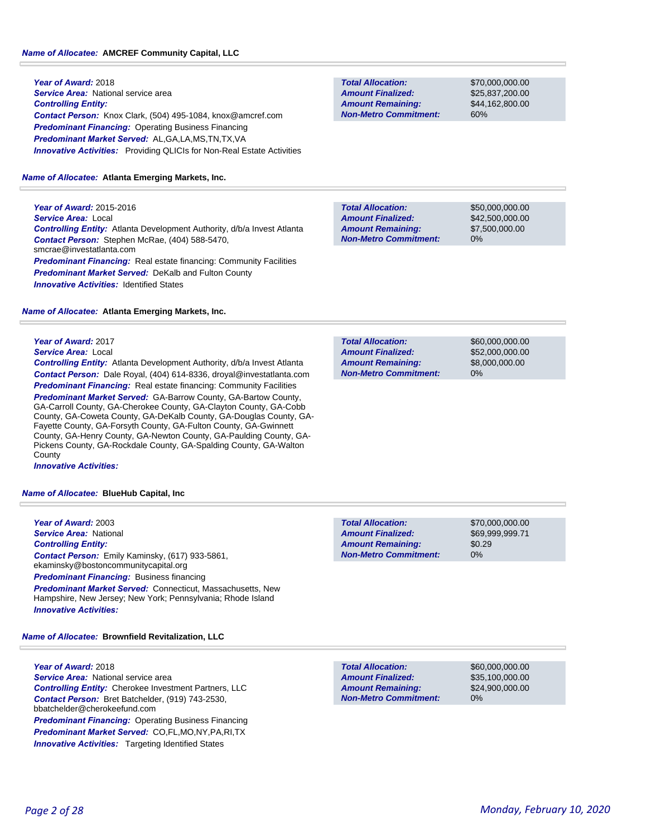#### *Name of Allocatee:* **AMCREF Community Capital, LLC**

**Year of Award:** 2018 *Service Area:* National service area *Controlling Entity: Contact Person:* Knox Clark, (504) 495-1084, knox@amcref.com *Predominant Financing:* Operating Business Financing *Predominant Market Served:* AL,GA,LA,MS,TN,TX,VA **Innovative Activities:** Providing QLICIs for Non-Real Estate Activities

#### *Name of Allocatee:* **Atlanta Emerging Markets, Inc.**

**Year of Award:** 2015-2016 *Service Area:* Local *Controlling Entity:* Atlanta Development Authority, d/b/a Invest Atlanta *Contact Person:* Stephen McRae, (404) 588-5470, smcrae@investatlanta.com *Predominant Financing:* Real estate financing: Community Facilities *Predominant Market Served:* DeKalb and Fulton County **Innovative Activities: Identified States** 

#### *Name of Allocatee:* **Atlanta Emerging Markets, Inc.**

## **Year of Award:** 2017

*Service Area:* Local

*Controlling Entity:* Atlanta Development Authority, d/b/a Invest Atlanta *Contact Person:* Dale Royal, (404) 614-8336, droyal@investatlanta.com *Predominant Financing:* Real estate financing: Community Facilities *Predominant Market Served:* GA-Barrow County, GA-Bartow County, GA-Carroll County, GA-Cherokee County, GA-Clayton County, GA-Cobb County, GA-Coweta County, GA-DeKalb County, GA-Douglas County, GA-Fayette County, GA-Forsyth County, GA-Fulton County, GA-Gwinnett County, GA-Henry County, GA-Newton County, GA-Paulding County, GA-Pickens County, GA-Rockdale County, GA-Spalding County, GA-Walton **County** 

*Innovative Activities:* 

#### *Name of Allocatee:* **BlueHub Capital, Inc**

**Year of Award:** 2003 *Service Area:* National *Controlling Entity: Contact Person:* Emily Kaminsky, (617) 933-5861, ekaminsky@bostoncommunitycapital.org **Predominant Financing: Business financing** *Predominant Market Served:* Connecticut, Massachusetts, New Hampshire, New Jersey; New York; Pennsylvania; Rhode Island *Innovative Activities:* 

*Name of Allocatee:* **Brownfield Revitalization, LLC**

#### **Year of Award:** 2018

*Service Area:* National service area *Controlling Entity:* Cherokee Investment Partners, LLC *Contact Person:* Bret Batchelder, (919) 743-2530, bbatchelder@cherokeefund.com

*Predominant Financing:* Operating Business Financing *Predominant Market Served:* CO,FL,MO,NY,PA,RI,TX **Innovative Activities:** Targeting Identified States

**Total Allocation: Non-Metro Commitment: Amount Remaining: Amount Finalized:**

\$70,000,000.00 \$25,837,200.00 \$44,162,800.00 60%

**Total Allocation: Non-Metro Commitment: Amount Remaining: Amount Finalized:**

\$50,000,000.00 \$42,500,000.00 \$7,500,000.00 0%

0% **Total Allocation: Non-Metro Commitment: Amount Remaining: Amount Finalized:**

\$60,000,000.00 \$52,000,000.00 \$8,000,000.00

**Total Allocation: Non-Metro Commitment: Amount Remaining: Amount Finalized:**

\$70,000,000.00 \$69,999,999.71 \$0.29 0%

**Total Allocation: Non-Metro Commitment: Amount Remaining: Amount Finalized:**

\$60,000,000.00 \$35,100,000.00 \$24,900,000.00 0%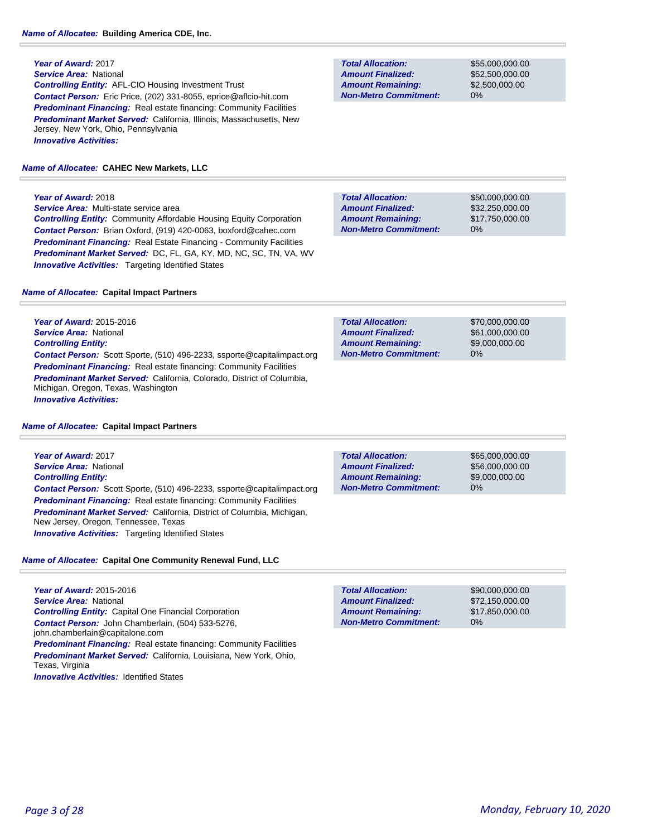*Service Area:* National *Controlling Entity:* AFL-CIO Housing Investment Trust *Contact Person:* Eric Price, (202) 331-8055, eprice@aflcio-hit.com **Predominant Financing:** Real estate financing: Community Facilities *Predominant Market Served:* California, Illinois, Massachusetts, New Jersey, New York, Ohio, Pennsylvania *Innovative Activities:* 

#### *Name of Allocatee:* **CAHEC New Markets, LLC**

**Year of Award:** 2018

*Service Area:* Multi-state service area *Controlling Entity:* Community Affordable Housing Equity Corporation *Contact Person:* Brian Oxford, (919) 420-0063, boxford@cahec.com *Predominant Financing:* Real Estate Financing - Community Facilities *Predominant Market Served:* DC, FL, GA, KY, MD, NC, SC, TN, VA, WV **Innovative Activities:** Targeting Identified States

#### *Name of Allocatee:* **Capital Impact Partners**

**Year of Award:** 2015-2016 *Service Area:* National *Controlling Entity: Contact Person:* Scott Sporte, (510) 496-2233, ssporte@capitalimpact.org **Predominant Financing:** Real estate financing: Community Facilities *Predominant Market Served:* California, Colorado, District of Columbia, Michigan, Oregon, Texas, Washington *Innovative Activities:* 

#### *Name of Allocatee:* **Capital Impact Partners**

**Year of Award:** 2017 *Service Area:* National *Controlling Entity: Contact Person:* Scott Sporte, (510) 496-2233, ssporte@capitalimpact.org **Predominant Financing:** Real estate financing: Community Facilities *Predominant Market Served:* California, District of Columbia, Michigan, New Jersey, Oregon, Tennessee, Texas *Innovative Activities:* Targeting Identified States

### *Name of Allocatee:* **Capital One Community Renewal Fund, LLC**

**Year of Award:** 2015-2016 *Service Area:* National *Controlling Entity:* Capital One Financial Corporation *Contact Person:* John Chamberlain, (504) 533-5276, john.chamberlain@capitalone.com **Predominant Financing:** Real estate financing: Community Facilities *Predominant Market Served:* California, Louisiana, New York, Ohio, Texas, Virginia

**Innovative Activities: Identified States** 

**Total Allocation: Non-Metro Commitment: Amount Remaining: Amount Finalized:**

\$55,000,000.00 \$52,500,000.00 \$2,500,000.00 0%

\$50,000,000.00 \$32,250,000.00 \$17,750,000.00 0% **Total Allocation: Non-Metro Commitment: Amount Remaining: Amount Finalized:**

\$70,000,000.00 \$61,000,000.00 \$9,000,000.00 0% **Total Allocation: Non-Metro Commitment: Amount Remaining: Amount Finalized:**

**Total Allocation: Non-Metro Commitment: Amount Remaining: Amount Finalized:**

\$65,000,000.00 \$56,000,000.00 \$9,000,000.00 0%

\$90,000,000.00 \$72,150,000.00 \$17,850,000.00 0% **Total Allocation: Non-Metro Commitment: Amount Remaining: Amount Finalized:**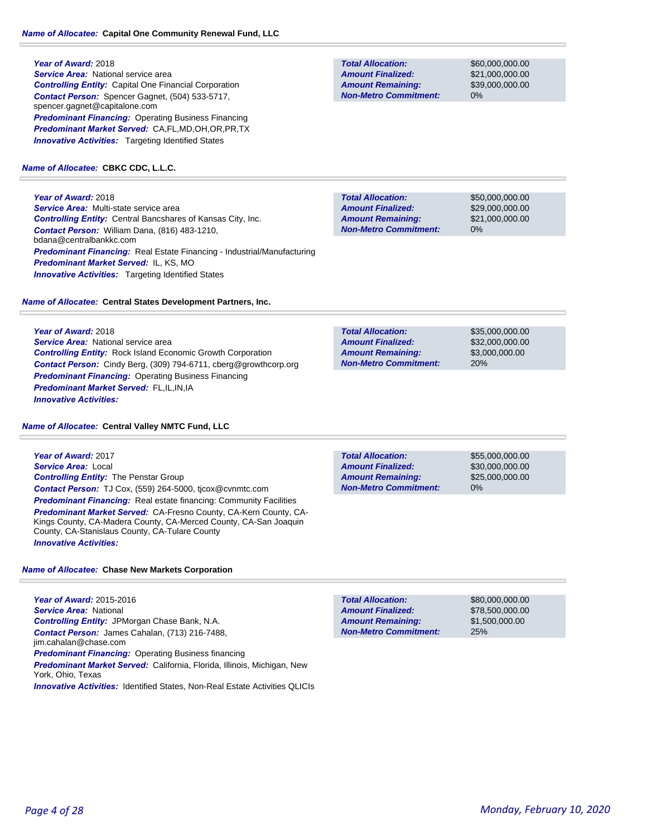**Year of Award:** 2018 *Service Area:* National service area *Controlling Entity:* Capital One Financial Corporation *Contact Person:* Spencer Gagnet, (504) 533-5717, spencer.gagnet@capitalone.com *Predominant Financing:* Operating Business Financing *Predominant Market Served:* CA,FL,MD,OH,OR,PR,TX **Innovative Activities:** Targeting Identified States

#### *Name of Allocatee:* **CBKC CDC, L.L.C.**

**Year of Award:** 2018 *Service Area:* Multi-state service area *Controlling Entity:* Central Bancshares of Kansas City, Inc. *Contact Person:* William Dana, (816) 483-1210, bdana@centralbankkc.com *Predominant Financing:* Real Estate Financing - Industrial/Manufacturing *Predominant Market Served:* IL, KS, MO **Innovative Activities:** Targeting Identified States

*Name of Allocatee:* **Central States Development Partners, Inc.**

**Year of Award:** 2018 **Service Area:** National service area *Controlling Entity:* Rock Island Economic Growth Corporation *Contact Person:* Cindy Berg, (309) 794-6711, cberg@growthcorp.org *Predominant Financing:* Operating Business Financing *Predominant Market Served:* FL,IL,IN,IA *Innovative Activities:* 

### *Name of Allocatee:* **Central Valley NMTC Fund, LLC**

**Year of Award:** 2017 *Service Area:* Local *Controlling Entity:* The Penstar Group *Contact Person:* TJ Cox, (559) 264-5000, tjcox@cvnmtc.com **Predominant Financing:** Real estate financing: Community Facilities *Predominant Market Served:* CA-Fresno County, CA-Kern County, CA-Kings County, CA-Madera County, CA-Merced County, CA-San Joaquin County, CA-Stanislaus County, CA-Tulare County *Innovative Activities:* 

### *Name of Allocatee:* **Chase New Markets Corporation**

**Year of Award:** 2015-2016 *Service Area:* National *Controlling Entity:* JPMorgan Chase Bank, N.A. *Contact Person:* James Cahalan, (713) 216-7488, jim.cahalan@chase.com **Predominant Financing:** Operating Business financing *Predominant Market Served:* California, Florida, Illinois, Michigan, New York, Ohio, Texas

**Innovative Activities: Identified States, Non-Real Estate Activities QLICIs** 

**Total Allocation: Non-Metro Commitment: Amount Remaining: Amount Finalized:**

\$60,000,000.00 \$21,000,000.00 \$39,000,000.00 0%

\$50,000,000.00 \$29,000,000.00 \$21,000,000.00 0% **Total Allocation: Non-Metro Commitment: Amount Remaining: Amount Finalized:**

**Total Allocation: Non-Metro Commitment: Amount Remaining: Amount Finalized:**

\$35,000,000.00 \$32,000,000.00 \$3,000,000.00 20%

**Total Allocation: Non-Metro Commitment: Amount Remaining: Amount Finalized:**

\$55,000,000.00 \$30,000,000.00 \$25,000,000.00 0%

\$80,000,000.00 \$78,500,000.00 \$1,500,000.00 25% **Total Allocation: Non-Metro Commitment: Amount Remaining: Amount Finalized:**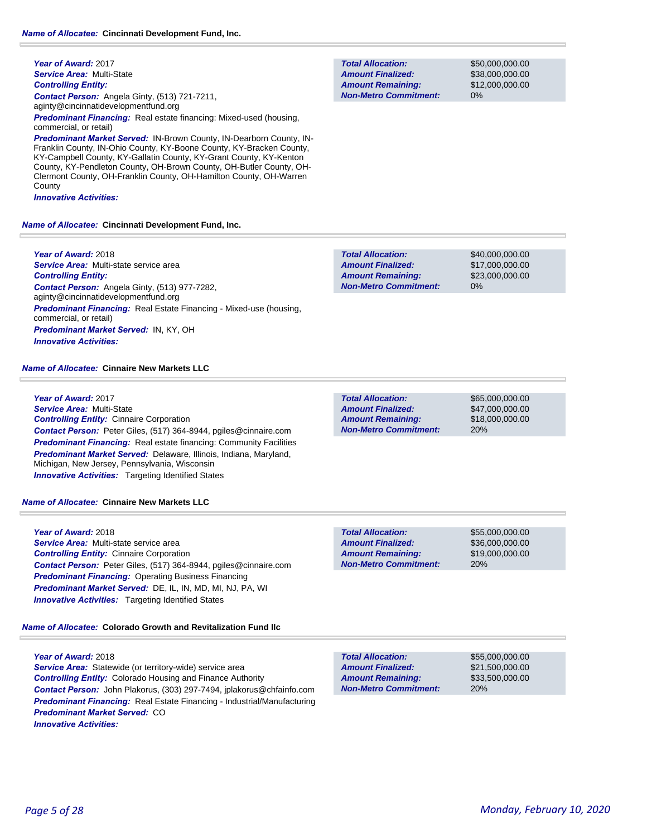**Year of Award:** 2017 *Service Area:* Multi-State *Controlling Entity: Contact Person:* Angela Ginty, (513) 721-7211, aginty@cincinnatidevelopmentfund.org

*Predominant Financing:* Real estate financing: Mixed-used (housing, commercial, or retail)

*Predominant Market Served:* IN-Brown County, IN-Dearborn County, IN-Franklin County, IN-Ohio County, KY-Boone County, KY-Bracken County, KY-Campbell County, KY-Gallatin County, KY-Grant County, KY-Kenton County, KY-Pendleton County, OH-Brown County, OH-Butler County, OH-Clermont County, OH-Franklin County, OH-Hamilton County, OH-Warren County

*Innovative Activities:* 

*Name of Allocatee:* **Cincinnati Development Fund, Inc.**

**Year of Award:** 2018 *Service Area:* Multi-state service area *Controlling Entity: Contact Person:* Angela Ginty, (513) 977-7282, aginty@cincinnatidevelopmentfund.org *Predominant Financing:* Real Estate Financing - Mixed-use (housing, commercial, or retail) *Predominant Market Served:* IN, KY, OH *Innovative Activities:* 

### *Name of Allocatee:* **Cinnaire New Markets LLC**

### **Year of Award:** 2017

*Service Area:* Multi-State *Controlling Entity:* Cinnaire Corporation *Contact Person:* Peter Giles, (517) 364-8944, pgiles@cinnaire.com **Predominant Financing:** Real estate financing: Community Facilities *Predominant Market Served:* Delaware, Illinois, Indiana, Maryland, Michigan, New Jersey, Pennsylvania, Wisconsin *Innovative Activities:* Targeting Identified States

### *Name of Allocatee:* **Cinnaire New Markets LLC**

### **Year of Award:** 2018

*Service Area:* Multi-state service area *Controlling Entity:* Cinnaire Corporation *Contact Person:* Peter Giles, (517) 364-8944, pgiles@cinnaire.com *Predominant Financing:* Operating Business Financing *Predominant Market Served:* DE, IL, IN, MD, MI, NJ, PA, WI **Innovative Activities:** Targeting Identified States

*Name of Allocatee:* **Colorado Growth and Revitalization Fund llc**

### **Year of Award:** 2018

*Service Area:* Statewide (or territory-wide) service area *Controlling Entity:* Colorado Housing and Finance Authority *Contact Person:* John Plakorus, (303) 297-7494, jplakorus@chfainfo.com *Predominant Financing:* Real Estate Financing - Industrial/Manufacturing *Predominant Market Served:* CO *Innovative Activities:* 

0% **Total Allocation: Non-Metro Commitment: Amount Remaining: Amount Finalized:**

\$50,000,000.00 \$38,000,000.00 \$12,000,000.00

\$40,000,000.00 \$17,000,000.00 \$23,000,000.00 0% **Total Allocation: Non-Metro Commitment: Amount Remaining: Amount Finalized:**

**Total Allocation: Non-Metro Commitment: Amount Remaining: Amount Finalized:**

\$65,000,000.00 \$47,000,000.00 \$18,000,000.00 20%

\$55,000,000.00 \$36,000,000.00 \$19,000,000.00 20% **Total Allocation: Non-Metro Commitment: Amount Remaining: Amount Finalized:**

**Total Allocation: Non-Metro Commitment: Amount Remaining: Amount Finalized:**

\$55,000,000.00 \$21,500,000.00 \$33,500,000.00 20%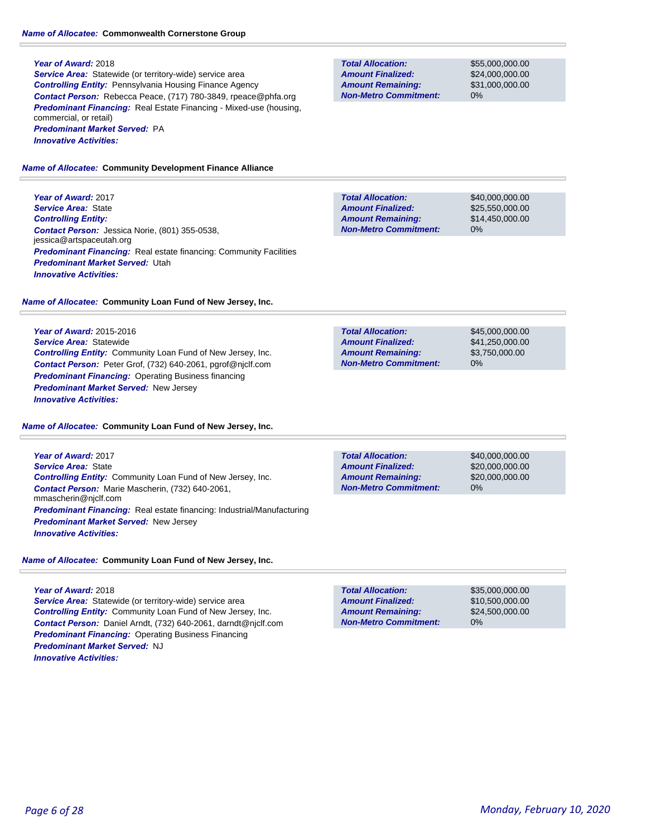**Service Area:** Statewide (or territory-wide) service area *Controlling Entity:* Pennsylvania Housing Finance Agency *Contact Person:* Rebecca Peace, (717) 780-3849, rpeace@phfa.org *Predominant Financing:* Real Estate Financing - Mixed-use (housing, commercial, or retail) *Predominant Market Served:* PA *Innovative Activities:* 

#### *Name of Allocatee:* **Community Development Finance Alliance**

**Year of Award:** 2017 *Service Area:* State *Controlling Entity: Contact Person:* Jessica Norie, (801) 355-0538, jessica@artspaceutah.org **Predominant Financing:** Real estate financing: Community Facilities *Predominant Market Served:* Utah *Innovative Activities:* 

#### *Name of Allocatee:* **Community Loan Fund of New Jersey, Inc.**

**Year of Award:** 2015-2016 *Service Area:* Statewide *Controlling Entity:* Community Loan Fund of New Jersey, Inc. *Contact Person:* Peter Grof, (732) 640-2061, pgrof@njclf.com *Predominant Financing:* Operating Business financing *Predominant Market Served:* New Jersey *Innovative Activities:* 

#### *Name of Allocatee:* **Community Loan Fund of New Jersey, Inc.**

**Year of Award:** 2017 *Service Area:* State *Controlling Entity:* Community Loan Fund of New Jersey, Inc. *Contact Person:* Marie Mascherin, (732) 640-2061, mmascherin@njclf.com *Predominant Financing:* Real estate financing: Industrial/Manufacturing *Predominant Market Served:* New Jersey *Innovative Activities:* 

### *Name of Allocatee:* **Community Loan Fund of New Jersey, Inc.**

### **Year of Award:** 2018

*Service Area:* Statewide (or territory-wide) service area *Controlling Entity:* Community Loan Fund of New Jersey, Inc. *Contact Person:* Daniel Arndt, (732) 640-2061, darndt@njclf.com *Predominant Financing:* Operating Business Financing *Predominant Market Served:* NJ *Innovative Activities:* 

**Total Allocation: Non-Metro Commitment: Amount Remaining: Amount Finalized:**

\$55,000,000.00 \$24,000,000.00 \$31,000,000.00 0%

\$40,000,000.00 \$25,550,000.00 \$14,450,000.00 0% **Total Allocation: Non-Metro Commitment: Amount Remaining: Amount Finalized:**

**Total Allocation: Non-Metro Commitment: Amount Remaining: Amount Finalized:**

\$45,000,000.00 \$41,250,000.00 \$3,750,000.00 0%

**Total Allocation: Non-Metro Commitment: Amount Remaining: Amount Finalized:**

\$40,000,000.00 \$20,000,000.00 \$20,000,000.00 0%

\$35,000,000.00 \$10,500,000.00 \$24,500,000.00 0% **Total Allocation: Non-Metro Commitment: Amount Remaining: Amount Finalized:**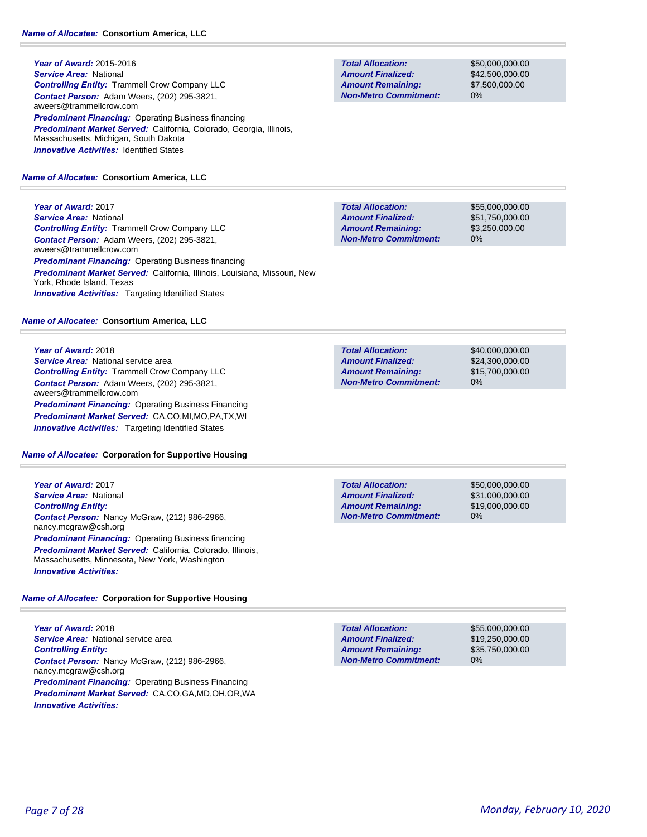**Year of Award:** 2015-2016 *Service Area:* National *Controlling Entity:* Trammell Crow Company LLC *Contact Person:* Adam Weers, (202) 295-3821, aweers@trammellcrow.com **Predominant Financing: Operating Business financing** *Predominant Market Served:* California, Colorado, Georgia, Illinois, Massachusetts, Michigan, South Dakota **Innovative Activities: Identified States** 

### *Name of Allocatee:* **Consortium America, LLC**

**Year of Award:** 2017 *Service Area:* National *Controlling Entity:* Trammell Crow Company LLC *Contact Person:* Adam Weers, (202) 295-3821, aweers@trammellcrow.com **Predominant Financing: Operating Business financing** *Predominant Market Served:* California, Illinois, Louisiana, Missouri, New York, Rhode Island, Texas **Innovative Activities:** Targeting Identified States

### *Name of Allocatee:* **Consortium America, LLC**

### **Year of Award:** 2018

**Service Area:** National service area *Controlling Entity:* Trammell Crow Company LLC *Contact Person:* Adam Weers, (202) 295-3821, aweers@trammellcrow.com *Predominant Financing: Operating Business Financing Predominant Market Served:* CA,CO,MI,MO,PA,TX,WI *Innovative Activities:* Targeting Identified States

### *Name of Allocatee:* **Corporation for Supportive Housing**

**Year of Award:** 2017 *Service Area:* National *Controlling Entity: Contact Person:* Nancy McGraw, (212) 986-2966, nancy.mcgraw@csh.org *Predominant Financing: Operating Business financing Predominant Market Served:* California, Colorado, Illinois, Massachusetts, Minnesota, New York, Washington *Innovative Activities:* 

### *Name of Allocatee:* **Corporation for Supportive Housing**

**Year of Award:** 2018 **Service Area:** National service area *Controlling Entity: Contact Person:* Nancy McGraw, (212) 986-2966, nancy.mcgraw@csh.org **Predominant Financing: Operating Business Financing** *Predominant Market Served:* CA,CO,GA,MD,OH,OR,WA *Innovative Activities:* 

**Total Allocation: Non-Metro Commitment: Amount Remaining: Amount Finalized:**

\$50,000,000.00 \$42,500,000.00 \$7,500,000.00 0%

**Total Allocation: Non-Metro Commitment: Amount Remaining: Amount Finalized:**

\$55,000,000.00 \$51,750,000.00 \$3,250,000.00 0%

\$40,000,000.00 \$24,300,000.00 \$15,700,000.00 0% **Total Allocation: Non-Metro Commitment: Amount Remaining: Amount Finalized:**

**Total Allocation: Non-Metro Commitment: Amount Remaining: Amount Finalized:**

\$50,000,000.00 \$31,000,000.00 \$19,000,000.00 0%

**Total Allocation: Non-Metro Commitment: Amount Remaining: Amount Finalized:**

\$55,000,000.00 \$19,250,000.00 \$35,750,000.00 0%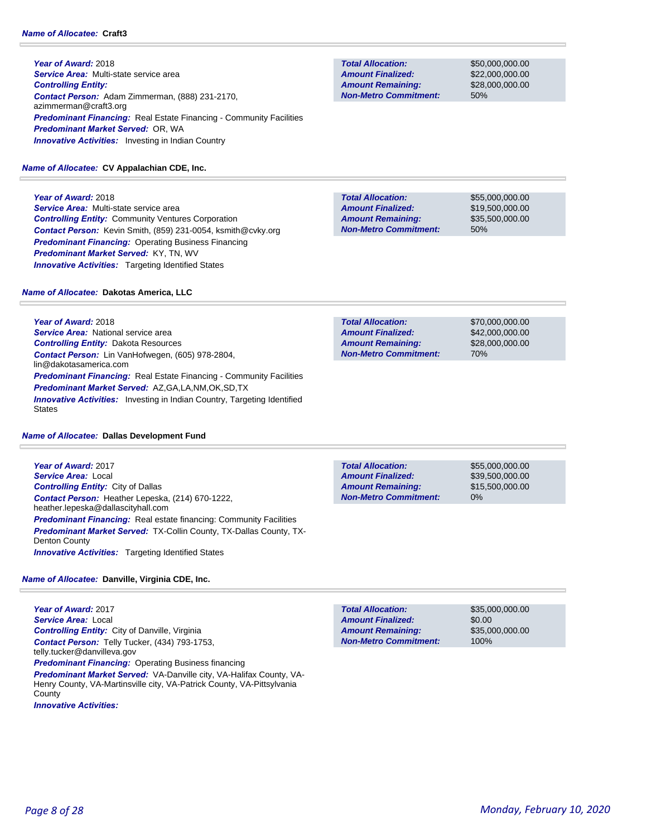### *Name of Allocatee:* **Craft3**

**Year of Award:** 2018 *Service Area:* Multi-state service area *Controlling Entity: Contact Person:* Adam Zimmerman, (888) 231-2170, azimmerman@craft3.org **Predominant Financing:** Real Estate Financing - Community Facilities *Predominant Market Served:* OR, WA **Innovative Activities:** Investing in Indian Country

#### *Name of Allocatee:* **CV Appalachian CDE, Inc.**

**Year of Award:** 2018 *Service Area:* Multi-state service area *Controlling Entity:* Community Ventures Corporation *Contact Person:* Kevin Smith, (859) 231-0054, ksmith@cvky.org *Predominant Financing:* Operating Business Financing *Predominant Market Served:* KY, TN, WV **Innovative Activities:** Targeting Identified States

#### \$55,000,000.00 \$19,500,000.00 \$35,500,000.00 50% **Total Allocation: Non-Metro Commitment: Amount Remaining: Amount Finalized:**

#### *Name of Allocatee:* **Dakotas America, LLC**

**Year of Award:** 2018 *Service Area:* National service area *Controlling Entity:* Dakota Resources *Contact Person:* Lin VanHofwegen, (605) 978-2804, lin@dakotasamerica.com **Predominant Financing:** Real Estate Financing - Community Facilities *Predominant Market Served:* AZ,GA,LA,NM,OK,SD,TX **Innovative Activities:** Investing in Indian Country, Targeting Identified States

#### *Name of Allocatee:* **Dallas Development Fund**

**Year of Award:** 2017 *Service Area:* Local *Controlling Entity:* City of Dallas *Contact Person:* Heather Lepeska, (214) 670-1222, heather.lepeska@dallascityhall.com **Predominant Financing:** Real estate financing: Community Facilities *Predominant Market Served:* TX-Collin County, TX-Dallas County, TX-Denton County *Innovative Activities:* Targeting Identified States

#### *Name of Allocatee:* **Danville, Virginia CDE, Inc.**

**Year of Award:** 2017 *Service Area:* Local *Controlling Entity:* City of Danville, Virginia *Contact Person:* Telly Tucker, (434) 793-1753, telly.tucker@danvilleva.gov *Predominant Financing:* Operating Business financing *Predominant Market Served:* VA-Danville city, VA-Halifax County, VA-Henry County, VA-Martinsville city, VA-Patrick County, VA-Pittsylvania **County** *Innovative Activities:* 

| <b>Amount Finalized:</b>     | \$42,000,000,00 |
|------------------------------|-----------------|
| <b>Amount Remaining:</b>     | \$28,000,000,00 |
| <b>Non-Metro Commitment:</b> | 70%             |
|                              |                 |

0% **Total Allocation: Non-Metro Commitment: Amount Remaining: Amount Finalized:**

\$55,000,000.00 \$39,500,000.00 \$15,500,000.00

\$70,000,000.00

**Total Allocation: Non-Metro Commitment: Amount Remaining: Amount Finalized:**

\$35,000,000.00 \$0.00 \$35,000,000.00 100%

**Total Allocation: Non-Metro Commitment: Amount Remaining: Amount Finalized:**

**Total Allocation:**

\$50,000,000.00 \$22,000,000.00 \$28,000,000.00 50%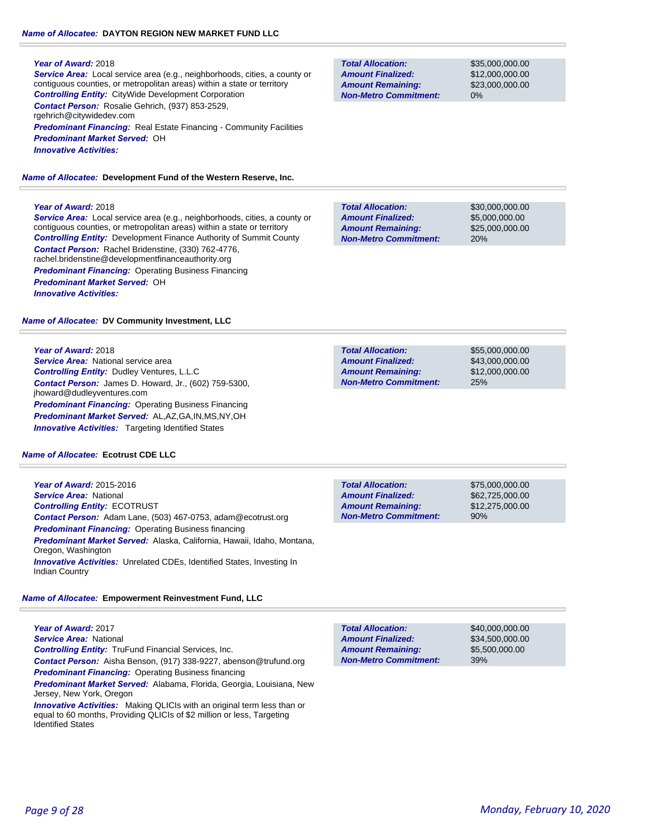### *Name of Allocatee:* **DAYTON REGION NEW MARKET FUND LLC**

### **Year of Award:** 2018

*Service Area:* Local service area (e.g., neighborhoods, cities, a county or contiguous counties, or metropolitan areas) within a state or territory *Controlling Entity:* CityWide Development Corporation *Contact Person:* Rosalie Gehrich, (937) 853-2529, rgehrich@citywidedev.com **Predominant Financing:** Real Estate Financing - Community Facilities

*Predominant Market Served:* OH

*Innovative Activities:* 

### *Name of Allocatee:* **Development Fund of the Western Reserve, Inc.**

### **Year of Award:** 2018

*Service Area:* Local service area (e.g., neighborhoods, cities, a county or contiguous counties, or metropolitan areas) within a state or territory *Controlling Entity:* Development Finance Authority of Summit County *Contact Person:* Rachel Bridenstine, (330) 762-4776, rachel.bridenstine@developmentfinanceauthority.org *Predominant Financing: Operating Business Financing Predominant Market Served:* OH *Innovative Activities:* 

*Name of Allocatee:* **DV Community Investment, LLC**

### **Year of Award:** 2018

*Service Area:* National service area *Controlling Entity:* Dudley Ventures, L.L.C *Contact Person:* James D. Howard, Jr., (602) 759-5300, jhoward@dudleyventures.com *Predominant Financing: Operating Business Financing Predominant Market Served:* AL,AZ,GA,IN,MS,NY,OH *Innovative Activities:* Targeting Identified States

### *Name of Allocatee:* **Ecotrust CDE LLC**

**Year of Award:** 2015-2016 *Service Area:* National *Controlling Entity:* ECOTRUST *Contact Person:* Adam Lane, (503) 467-0753, adam@ecotrust.org *Predominant Financing:* Operating Business financing *Predominant Market Served:* Alaska, California, Hawaii, Idaho, Montana, Oregon, Washington *Innovative Activities:* Unrelated CDEs, Identified States, Investing In Indian Country

### *Name of Allocatee:* **Empowerment Reinvestment Fund, LLC**

**Year of Award:** 2017 *Service Area:* National *Controlling Entity:* TruFund Financial Services, Inc. *Contact Person:* Aisha Benson, (917) 338-9227, abenson@trufund.org *Predominant Financing: Operating Business financing Predominant Market Served:* Alabama, Florida, Georgia, Louisiana, New Jersey, New York, Oregon

**Innovative Activities:** Making QLICIs with an original term less than or equal to 60 months, Providing QLICIs of \$2 million or less, Targeting Identified States

**Total Allocation: Non-Metro Commitment: Amount Remaining: Amount Finalized:**

\$35,000,000.00 \$12,000,000.00 \$23,000,000.00 0%

**Total Allocation: Non-Metro Commitment: Amount Remaining: Amount Finalized:**

\$30,000,000.00 \$5,000,000.00 \$25,000,000.00 20%

\$55,000,000.00 \$43,000,000.00 \$12,000,000.00 25% **Total Allocation: Non-Metro Commitment: Amount Remaining: Amount Finalized:**

**Total Allocation: Non-Metro Commitment: Amount Remaining: Amount Finalized:**

\$75,000,000.00 \$62,725,000.00 \$12,275,000.00 90%

**Total Allocation: Non-Metro Commitment: Amount Remaining: Amount Finalized:**

\$40,000,000.00 \$34,500,000.00 \$5,500,000.00 39%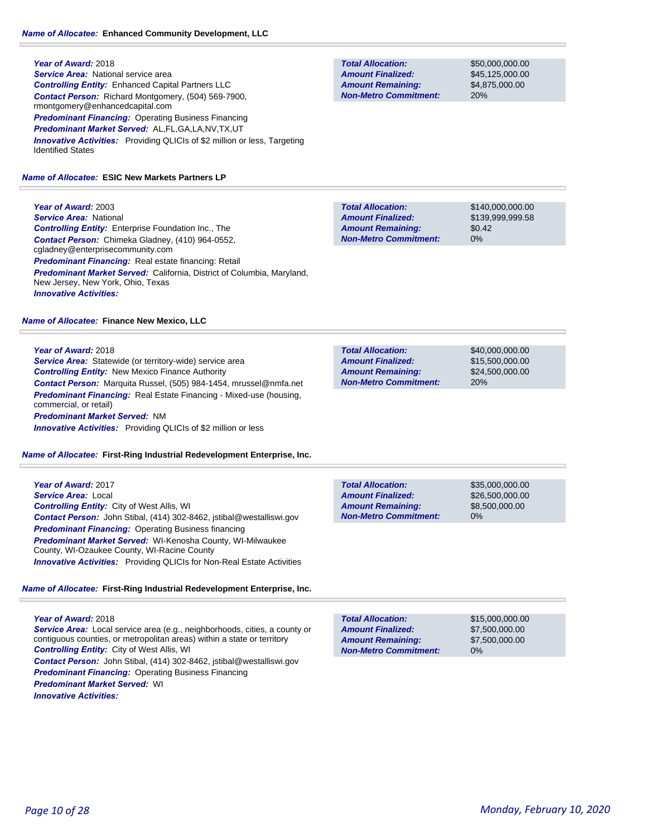**Year of Award:** 2018 **Service Area:** National service area *Controlling Entity:* Enhanced Capital Partners LLC *Contact Person:* Richard Montgomery, (504) 569-7900, rmontgomery@enhancedcapital.com *Predominant Financing:* Operating Business Financing *Predominant Market Served:* AL,FL,GA,LA,NV,TX,UT **Innovative Activities:** Providing QLICIs of \$2 million or less, Targeting Identified States

#### *Name of Allocatee:* **ESIC New Markets Partners LP**

**Year of Award:** 2003 *Service Area:* National *Controlling Entity:* Enterprise Foundation Inc., The *Contact Person:* Chimeka Gladney, (410) 964-0552, cgladney@enterprisecommunity.com *Predominant Financing:* Real estate financing: Retail *Predominant Market Served:* California, District of Columbia, Maryland, New Jersey, New York, Ohio, Texas *Innovative Activities:* 

#### *Name of Allocatee:* **Finance New Mexico, LLC**

#### **Year of Award:** 2018

*Service Area:* Statewide (or territory-wide) service area *Controlling Entity:* New Mexico Finance Authority *Contact Person:* Marquita Russel, (505) 984-1454, mrussel@nmfa.net *Predominant Financing:* Real Estate Financing - Mixed-use (housing, commercial, or retail) *Predominant Market Served:* NM *Innovative Activities:* Providing QLICIs of \$2 million or less

#### *Name of Allocatee:* **First-Ring Industrial Redevelopment Enterprise, Inc.**

### *Name of Allocatee:* **First-Ring Industrial Redevelopment Enterprise, Inc.**

### **Year of Award:** 2018

*Service Area:* Local service area (e.g., neighborhoods, cities, a county or contiguous counties, or metropolitan areas) within a state or territory *Controlling Entity:* City of West Allis, WI *Contact Person:* John Stibal, (414) 302-8462, jstibal@westalliswi.gov *Predominant Financing: Operating Business Financing Predominant Market Served:* WI *Innovative Activities:* 

**Total Allocation: Non-Metro Commitment: Amount Remaining: Amount Finalized:**

\$50,000,000.00 \$45,125,000.00 \$4,875,000.00 20%

\$140,000,000.00 \$139,999,999.58 \$0.42 0% **Total Allocation: Non-Metro Commitment: Amount Remaining: Amount Finalized:**

\$40,000,000.00 \$15,500,000.00 \$24,500,000.00 20% **Total Allocation: Non-Metro Commitment: Amount Remaining: Amount Finalized:**

**Total Allocation: Non-Metro Commitment: Amount Remaining: Amount Finalized:**

\$35,000,000.00 \$26,500,000.00 \$8,500,000.00 0%

\$15,000,000.00 \$7,500,000.00 \$7,500,000.00 0% **Total Allocation: Non-Metro Commitment: Amount Remaining: Amount Finalized:**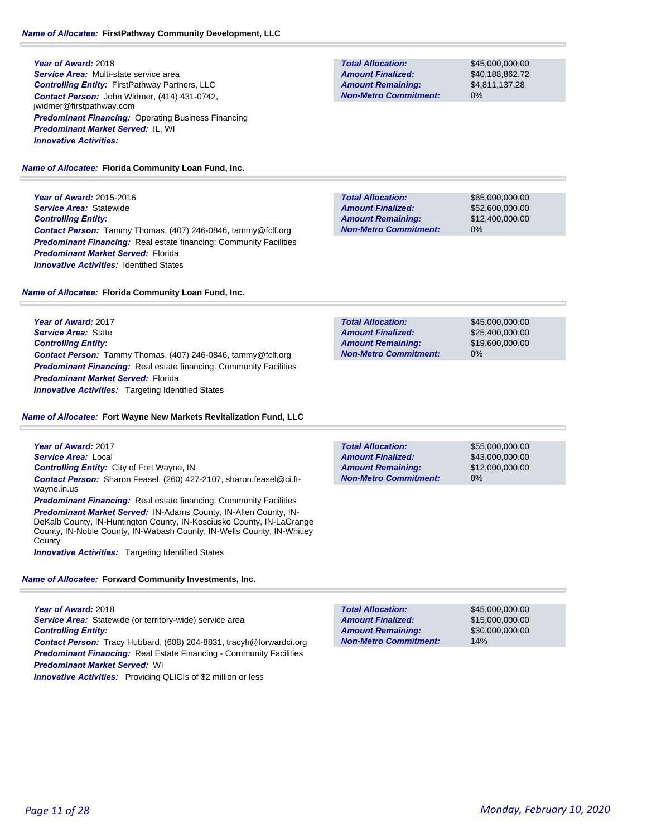**Year of Award:** 2018 *Service Area:* Multi-state service area *Controlling Entity:* FirstPathway Partners, LLC *Contact Person:* John Widmer, (414) 431-0742, jwidmer@firstpathway.com **Predominant Financing: Operating Business Financing** *Predominant Market Served:* IL, WI *Innovative Activities:* 

*Name of Allocatee:* **Florida Community Loan Fund, Inc.**

**Year of Award:** 2015-2016 *Service Area:* Statewide *Controlling Entity: Contact Person:* Tammy Thomas, (407) 246-0846, tammy@fclf.org **Predominant Financing:** Real estate financing: Community Facilities *Predominant Market Served:* Florida **Innovative Activities: Identified States** 

*Name of Allocatee:* **Florida Community Loan Fund, Inc.**

**Year of Award:** 2017 *Service Area:* State *Controlling Entity: Contact Person:* Tammy Thomas, (407) 246-0846, tammy@fclf.org *Predominant Financing:* Real estate financing: Community Facilities *Predominant Market Served:* Florida *Innovative Activities:* Targeting Identified States

#### *Name of Allocatee:* **Fort Wayne New Markets Revitalization Fund, LLC**

| <b>Total Allocation:</b>     | \$55,000,000,00 |
|------------------------------|-----------------|
| <b>Amount Finalized:</b>     | \$43,000,000,00 |
| <b>Amount Remaining:</b>     | \$12,000,000,00 |
| <b>Non-Metro Commitment:</b> | 0%              |

*Service Area:* Local *Controlling Entity:* City of Fort Wayne, IN *Contact Person:* Sharon Feasel, (260) 427-2107, sharon.feasel@ci.ftwayne.in.us **Predominant Financing:** Real estate financing: Community Facilities *Predominant Market Served:* IN-Adams County, IN-Allen County, IN-

DeKalb County, IN-Huntington County, IN-Kosciusko County, IN-LaGrange County, IN-Noble County, IN-Wabash County, IN-Wells County, IN-Whitley **County** 

*Innovative Activities:* Targeting Identified States

**Year of Award:** 2017

*Name of Allocatee:* **Forward Community Investments, Inc.**

**Year of Award:** 2018 *Service Area:* Statewide (or territory-wide) service area *Controlling Entity: Contact Person:* Tracy Hubbard, (608) 204-8831, tracyh@forwardci.org

**Predominant Financing:** Real Estate Financing - Community Facilities *Predominant Market Served:* WI

|  | <b>Innovative Activities:</b> Providing QLICIs of \$2 million or less |
|--|-----------------------------------------------------------------------|
|--|-----------------------------------------------------------------------|

| \$45,000,000 |
|--------------|
| \$15,000,000 |
| \$30,000,000 |
| 14%          |
|              |

**Non-Metro Commitment: Amount Remaining:**

**Total Allocation:**

**Amount Finalized:**

\$45,000,000.00 \$40,188,862.72 \$4,811,137.28 0%

\$65,000,000.00 \$52,600,000.00 \$12,400,000.00 0% **Total Allocation: Non-Metro Commitment: Amount Remaining: Amount Finalized:**

| <b>Total Allocation:</b>     | \$45,000,000,00 |
|------------------------------|-----------------|
| <b>Amount Finalized:</b>     | \$25,400,000,00 |
| <b>Amount Remaining:</b>     | \$19,600,000,00 |
| <b>Non-Metro Commitment:</b> | 0%              |

.00 .00 .00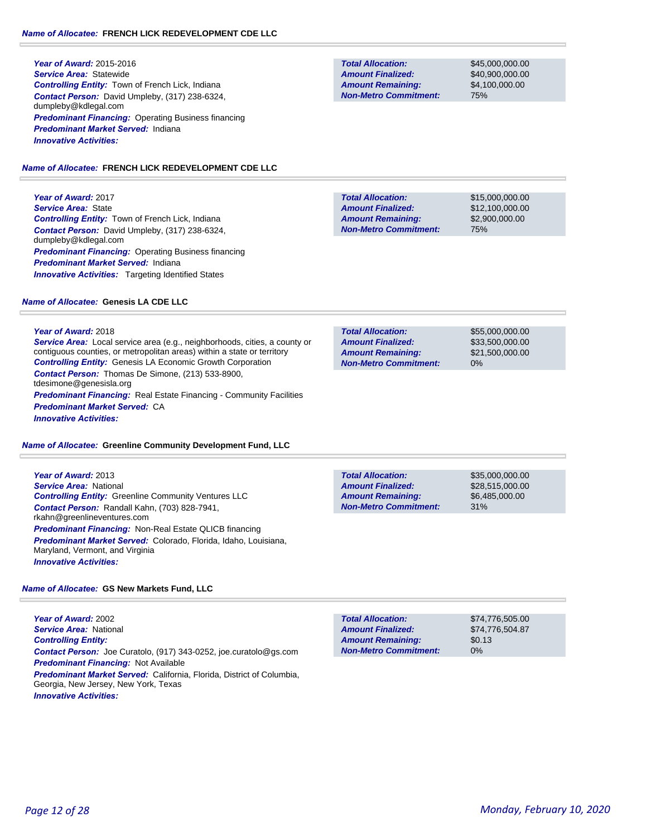**Year of Award:** 2015-2016 *Service Area:* Statewide *Controlling Entity:* Town of French Lick, Indiana *Contact Person:* David Umpleby, (317) 238-6324, dumpleby@kdlegal.com **Predominant Financing: Operating Business financing** *Predominant Market Served:* Indiana *Innovative Activities:* 

#### *Name of Allocatee:* **FRENCH LICK REDEVELOPMENT CDE LLC**

**Year of Award:** 2017 *Service Area:* State *Controlling Entity:* Town of French Lick, Indiana *Contact Person:* David Umpleby, (317) 238-6324, dumpleby@kdlegal.com *Predominant Financing: Operating Business financing Predominant Market Served:* Indiana **Innovative Activities:** Targeting Identified States

#### *Name of Allocatee:* **Genesis LA CDE LLC**

#### **Year of Award:** 2018

*Service Area:* Local service area (e.g., neighborhoods, cities, a county or contiguous counties, or metropolitan areas) within a state or territory *Controlling Entity:* Genesis LA Economic Growth Corporation *Contact Person:* Thomas De Simone, (213) 533-8900, tdesimone@genesisla.org **Predominant Financing:** Real Estate Financing - Community Facilities *Predominant Market Served:* CA *Innovative Activities:* 

#### *Name of Allocatee:* **Greenline Community Development Fund, LLC**

**Year of Award:** 2013 *Service Area:* National *Controlling Entity:* Greenline Community Ventures LLC *Contact Person:* Randall Kahn, (703) 828-7941, rkahn@greenlineventures.com *Predominant Financing:* Non-Real Estate QLICB financing *Predominant Market Served:* Colorado, Florida, Idaho, Louisiana, Maryland, Vermont, and Virginia *Innovative Activities:* 

### *Name of Allocatee:* **GS New Markets Fund, LLC**

**Year of Award:** 2002 *Service Area:* National *Controlling Entity: Contact Person:* Joe Curatolo, (917) 343-0252, joe.curatolo@gs.com *Predominant Financing:* Not Available *Predominant Market Served:* California, Florida, District of Columbia, Georgia, New Jersey, New York, Texas *Innovative Activities:* 

**Total Allocation: Non-Metro Commitment: Amount Remaining: Amount Finalized:**

\$45,000,000.00 \$40,900,000.00 \$4,100,000.00 75%

\$15,000,000.00 \$12,100,000.00 \$2,900,000.00 75% **Total Allocation: Non-Metro Commitment: Amount Remaining: Amount Finalized:**

**Total Allocation: Non-Metro Commitment: Amount Remaining: Amount Finalized:**

\$55,000,000.00 \$33,500,000.00 \$21,500,000.00 0%

\$35,000,000.00 31% **Total Allocation: Non-Metro Commitment: Amount Remaining: Amount Finalized:**

\$28,515,000.00 \$6,485,000.00

\$74,776,505.00 \$74,776,504.87 \$0.13 0% **Total Allocation: Non-Metro Commitment: Amount Remaining: Amount Finalized:**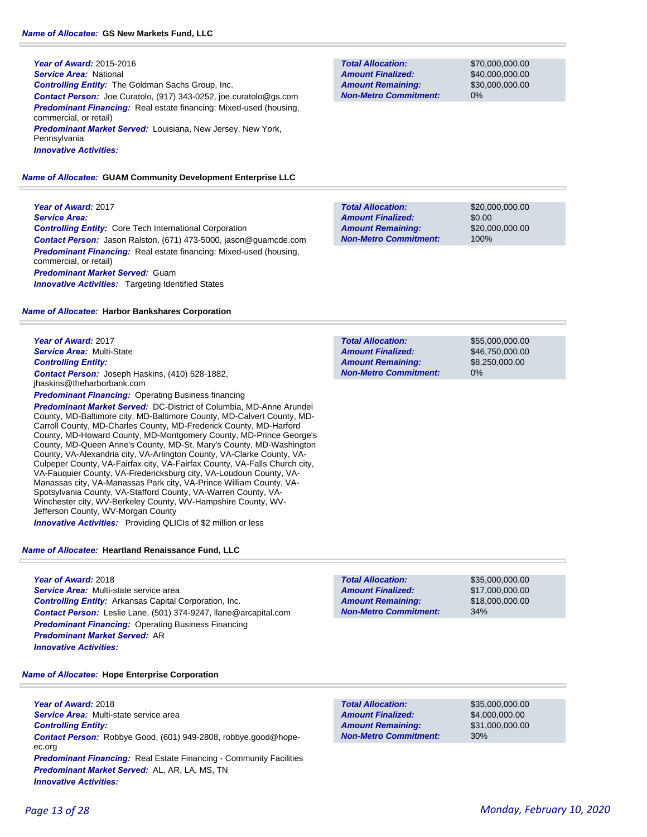**Year of Award:** 2015-2016 *Service Area:* National *Controlling Entity:* The Goldman Sachs Group, Inc. *Contact Person:* Joe Curatolo, (917) 343-0252, joe.curatolo@gs.com **Predominant Financing:** Real estate financing: Mixed-used (housing, commercial, or retail) *Predominant Market Served:* Louisiana, New Jersey, New York, Pennsylvania *Innovative Activities:* 

#### *Name of Allocatee:* **GUAM Community Development Enterprise LLC**

**Year of Award:** 2017 *Service Area: Controlling Entity:* Core Tech International Corporation *Contact Person:* Jason Ralston, (671) 473-5000, jason@guamcde.com *Predominant Financing:* Real estate financing: Mixed-used (housing, commercial, or retail) *Predominant Market Served:* Guam **Innovative Activities:** Targeting Identified States

#### *Name of Allocatee:* **Harbor Bankshares Corporation**

**Year of Award:** 2017 *Service Area:* Multi-State *Controlling Entity: Contact Person:* Joseph Haskins, (410) 528-1882, jhaskins@theharborbank.com

**Predominant Financing: Operating Business financing** 

*Predominant Market Served:* DC-District of Columbia, MD-Anne Arundel County, MD-Baltimore city, MD-Baltimore County, MD-Calvert County, MD-Carroll County, MD-Charles County, MD-Frederick County, MD-Harford County, MD-Howard County, MD-Montgomery County, MD-Prince George's County, MD-Queen Anne's County, MD-St. Mary's County, MD-Washington County, VA-Alexandria city, VA-Arlington County, VA-Clarke County, VA-Culpeper County, VA-Fairfax city, VA-Fairfax County, VA-Falls Church city, VA-Fauquier County, VA-Fredericksburg city, VA-Loudoun County, VA-Manassas city, VA-Manassas Park city, VA-Prince William County, VA-Spotsylvania County, VA-Stafford County, VA-Warren County, VA-Winchester city, WV-Berkeley County, WV-Hampshire County, WV-Jefferson County, WV-Morgan County

*Innovative Activities:* Providing QLICIs of \$2 million or less

### *Name of Allocatee:* **Heartland Renaissance Fund, LLC**

**Year of Award:** 2018 *Service Area:* Multi-state service area *Controlling Entity:* Arkansas Capital Corporation, Inc. *Contact Person:* Leslie Lane, (501) 374-9247, llane@arcapital.com **Predominant Financing: Operating Business Financing** *Predominant Market Served:* AR *Innovative Activities:* 

| <b>Name of Allocatee: Hope Enterprise Corporation</b> |  |
|-------------------------------------------------------|--|

**Year of Award:** 2018 *Service Area:* Multi-state service area *Controlling Entity: Contact Person:* Robbye Good, (601) 949-2808, robbye.good@hopeec.org **Predominant Financing:** Real Estate Financing - Community Facilities *Predominant Market Served:* AL, AR, LA, MS, TN *Innovative Activities:* 

**Total Allocation: Non-Metro Commitment: Amount Remaining: Amount Finalized:**

\$70,000,000.00 \$40,000,000.00 \$30,000,000.00 0%

\$20,000,000.00 \$0.00 \$20,000,000.00 100% **Total Allocation: Non-Metro Commitment: Amount Remaining: Amount Finalized:**

\$55,000,000.00 \$46,750,000.00 \$8,250,000.00 0% **Total Allocation: Non-Metro Commitment: Amount Remaining: Amount Finalized:**

\$35,000,000.00 \$17,000,000.00 \$18,000,000.00 34% **Total Allocation: Non-Metro Commitment: Amount Remaining: Amount Finalized:**

**Total Allocation: Non-Metro Commitment: Amount Remaining: Amount Finalized:**

\$35,000,000.00 \$4,000,000.00 \$31,000,000.00 30%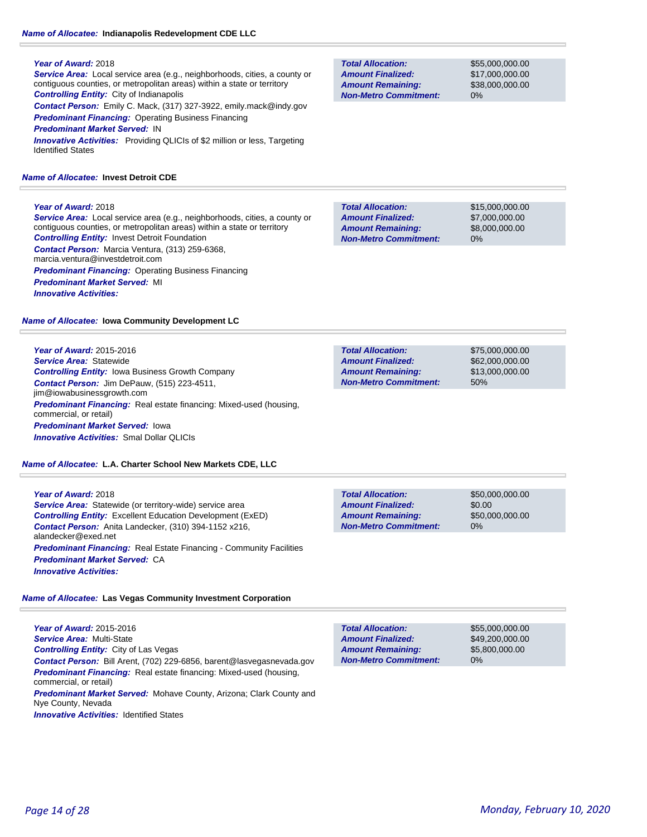*Service Area:* Local service area (e.g., neighborhoods, cities, a county or contiguous counties, or metropolitan areas) within a state or territory *Controlling Entity:* City of Indianapolis *Contact Person:* Emily C. Mack, (317) 327-3922, emily.mack@indy.gov *Predominant Financing:* Operating Business Financing *Predominant Market Served:* IN

**Innovative Activities:** Providing QLICIs of \$2 million or less, Targeting Identified States

#### *Name of Allocatee:* **Invest Detroit CDE**

#### **Year of Award:** 2018

*Service Area:* Local service area (e.g., neighborhoods, cities, a county or contiguous counties, or metropolitan areas) within a state or territory *Controlling Entity:* Invest Detroit Foundation *Contact Person:* Marcia Ventura, (313) 259-6368, marcia.ventura@investdetroit.com *Predominant Financing: Operating Business Financing Predominant Market Served:* MI *Innovative Activities:* 

*Name of Allocatee:* **Iowa Community Development LC**

**Year of Award:** 2015-2016 *Service Area:* Statewide *Controlling Entity:* Iowa Business Growth Company *Contact Person:* Jim DePauw, (515) 223-4511, jim@iowabusinessgrowth.com **Predominant Financing:** Real estate financing: Mixed-used (housing, commercial, or retail) *Predominant Market Served:* Iowa *Innovative Activities:* Smal Dollar QLICIs

*Name of Allocatee:* **L.A. Charter School New Markets CDE, LLC**

### **Year of Award:** 2018 *Service Area:* Statewide (or territory-wide) service area *Controlling Entity:* Excellent Education Development (ExED) *Contact Person:* Anita Landecker, (310) 394-1152 x216, alandecker@exed.net *Predominant Financing:* Real Estate Financing - Community Facilities *Predominant Market Served:* CA *Innovative Activities:*

### *Name of Allocatee:* **Las Vegas Community Investment Corporation**

**Year of Award:** 2015-2016 *Service Area:* Multi-State *Controlling Entity:* City of Las Vegas *Contact Person:* Bill Arent, (702) 229-6856, barent@lasvegasnevada.gov **Predominant Financing:** Real estate financing: Mixed-used (housing, commercial, or retail) *Predominant Market Served:* Mohave County, Arizona; Clark County and Nye County, Nevada

**Innovative Activities: Identified States** 

| <b>Total Allocation:</b>     |  |  |
|------------------------------|--|--|
| <b>Amount Finalized:</b>     |  |  |
| <b>Amount Remaining:</b>     |  |  |
| <b>Non-Metro Commitment:</b> |  |  |

\$55,000,000.00 \$17,000,000.00 \$38,000,000.00 0%

**Total Allocation: Non-Metro Commitment: Amount Remaining: Amount Finalized:**

\$15,000,000.00 \$7,000,000.00 \$8,000,000.00 0%

\$75,000,000.00 \$62,000,000.00 \$13,000,000.00 50% **Total Allocation: Non-Metro Commitment: Amount Remaining: Amount Finalized:**

| <b>Total Allocation:</b>     | \$50,000,000,00 |
|------------------------------|-----------------|
| <b>Amount Finalized:</b>     | \$0.00          |
| <b>Amount Remaining:</b>     | \$50,000,000,00 |
| <b>Non-Metro Commitment:</b> | $0\%$           |

0% **Total Allocation: Non-Metro Commitment: Amount Remaining: Amount Finalized:**

\$55,000,000.00 \$49,200,000.00 \$5,800,000.00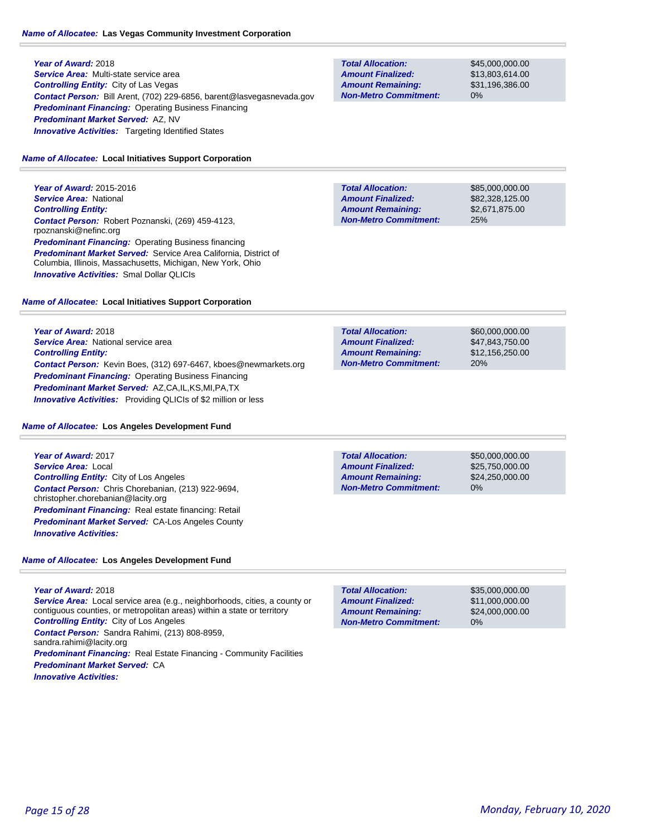### **Year of Award:** 2018 *Service Area:* Multi-state service area *Controlling Entity:* City of Las Vegas *Contact Person:* Bill Arent, (702) 229-6856, barent@lasvegasnevada.gov *Predominant Financing:* Operating Business Financing *Predominant Market Served:* AZ, NV **Innovative Activities:** Targeting Identified States

#### *Name of Allocatee:* **Local Initiatives Support Corporation**

**Year of Award:** 2015-2016 *Service Area:* National *Controlling Entity: Contact Person:* Robert Poznanski, (269) 459-4123, rpoznanski@nefinc.org **Predominant Financing: Operating Business financing** *Predominant Market Served:* Service Area California, District of Columbia, Illinois, Massachusetts, Michigan, New York, Ohio *Innovative Activities:* Smal Dollar QLICIs

#### *Name of Allocatee:* **Local Initiatives Support Corporation**

**Year of Award:** 2018 **Service Area:** National service area *Controlling Entity: Contact Person:* Kevin Boes, (312) 697-6467, kboes@newmarkets.org *Predominant Financing:* Operating Business Financing *Predominant Market Served:* AZ,CA,IL,KS,MI,PA,TX *Innovative Activities:* Providing QLICIs of \$2 million or less

#### *Name of Allocatee:* **Los Angeles Development Fund**

**Year of Award:** 2017 *Service Area:* Local *Controlling Entity:* City of Los Angeles *Contact Person:* Chris Chorebanian, (213) 922-9694, christopher.chorebanian@lacity.org *Predominant Financing:* Real estate financing: Retail *Predominant Market Served:* CA-Los Angeles County *Innovative Activities:* 

### *Name of Allocatee:* **Los Angeles Development Fund**

**Year of Award:** 2018 *Service Area:* Local service area (e.g., neighborhoods, cities, a county or contiguous counties, or metropolitan areas) within a state or territory *Controlling Entity:* City of Los Angeles *Contact Person:* Sandra Rahimi, (213) 808-8959, sandra.rahimi@lacity.org **Predominant Financing:** Real Estate Financing - Community Facilities *Predominant Market Served:* CA *Innovative Activities:* 

| <b>Total Allocation:</b>     |  |
|------------------------------|--|
| <b>Amount Finalized:</b>     |  |
| <b>Amount Remaining:</b>     |  |
| <b>Non-Metro Commitment:</b> |  |

\$45,000,000.00 \$13,803,614.00 \$31,196,386.00 0%

**Total Allocation: Non-Metro Commitment: Amount Remaining: Amount Finalized:**

\$85,000,000.00 \$82,328,125.00 \$2,671,875.00 25%

\$60,000,000.00 \$47,843,750.00 \$12,156,250.00 20% **Total Allocation: Non-Metro Commitment: Amount Remaining: Amount Finalized:**

**Total Allocation: Non-Metro Commitment: Amount Remaining: Amount Finalized:**

\$50,000,000.00 \$25,750,000.00 \$24,250,000.00 0%

\$35,000,000.00 \$11,000,000.00 \$24,000,000.00 0% **Total Allocation: Non-Metro Commitment: Amount Remaining: Amount Finalized:**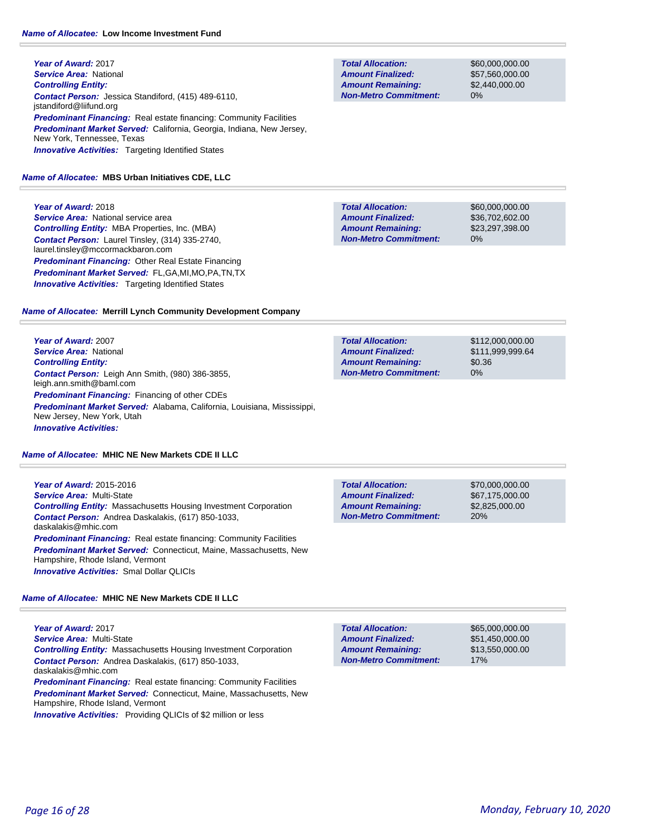**Year of Award:** 2017 *Service Area:* National *Controlling Entity: Contact Person:* Jessica Standiford, (415) 489-6110, jstandiford@liifund.org *Predominant Financing:* Real estate financing: Community Facilities *Predominant Market Served:* California, Georgia, Indiana, New Jersey, New York, Tennessee, Texas **Innovative Activities:** Targeting Identified States

#### *Name of Allocatee:* **MBS Urban Initiatives CDE, LLC**

### **Year of Award:** 2018

**Service Area:** National service area *Controlling Entity:* MBA Properties, Inc. (MBA) *Contact Person:* Laurel Tinsley, (314) 335-2740, laurel.tinsley@mccormackbaron.com *Predominant Financing:* Other Real Estate Financing *Predominant Market Served:* FL,GA,MI,MO,PA,TN,TX **Innovative Activities:** Targeting Identified States

### *Name of Allocatee:* **Merrill Lynch Community Development Company**

**Year of Award:** 2007 *Service Area:* National *Controlling Entity: Contact Person:* Leigh Ann Smith, (980) 386-3855, leigh.ann.smith@baml.com *Predominant Financing:* Financing of other CDEs *Predominant Market Served:* Alabama, California, Louisiana, Mississippi, New Jersey, New York, Utah *Innovative Activities:* 

#### *Name of Allocatee:* **MHIC NE New Markets CDE II LLC**

**Year of Award:** 2015-2016 *Service Area:* Multi-State *Controlling Entity:* Massachusetts Housing Investment Corporation *Contact Person:* Andrea Daskalakis, (617) 850-1033, daskalakis@mhic.com **Predominant Financing:** Real estate financing: Community Facilities *Predominant Market Served:* Connecticut, Maine, Massachusetts, New Hampshire, Rhode Island, Vermont *Innovative Activities:* Smal Dollar QLICIs

### *Name of Allocatee:* **MHIC NE New Markets CDE II LLC**

**Year of Award:** 2017 *Service Area:* Multi-State *Controlling Entity:* Massachusetts Housing Investment Corporation *Contact Person:* Andrea Daskalakis, (617) 850-1033, daskalakis@mhic.com **Predominant Financing: Real estate financing: Community Facilities** *Predominant Market Served:* Connecticut, Maine, Massachusetts, New Hampshire, Rhode Island, Vermont

*Innovative Activities:* Providing QLICIs of \$2 million or less

**Total Allocation: Non-Metro Commitment: Amount Remaining: Amount Finalized:**

\$60,000,000.00 \$57,560,000.00 \$2,440,000.00 0%

**Total Allocation: Non-Metro Commitment: Amount Remaining: Amount Finalized:**

\$60,000,000.00 \$36,702,602.00 \$23,297,398.00 0%

\$112,000,000.00 \$111,999,999.64 \$0.36 0% **Total Allocation: Non-Metro Commitment: Amount Remaining: Amount Finalized:**

**Total Allocation: Non-Metro Commitment: Amount Remaining: Amount Finalized:**

\$70,000,000.00 \$67,175,000.00 \$2,825,000.00 20%

17% **Total Allocation: Non-Metro Commitment: Amount Remaining: Amount Finalized:**

\$65,000,000.00 \$51,450,000.00 \$13,550,000.00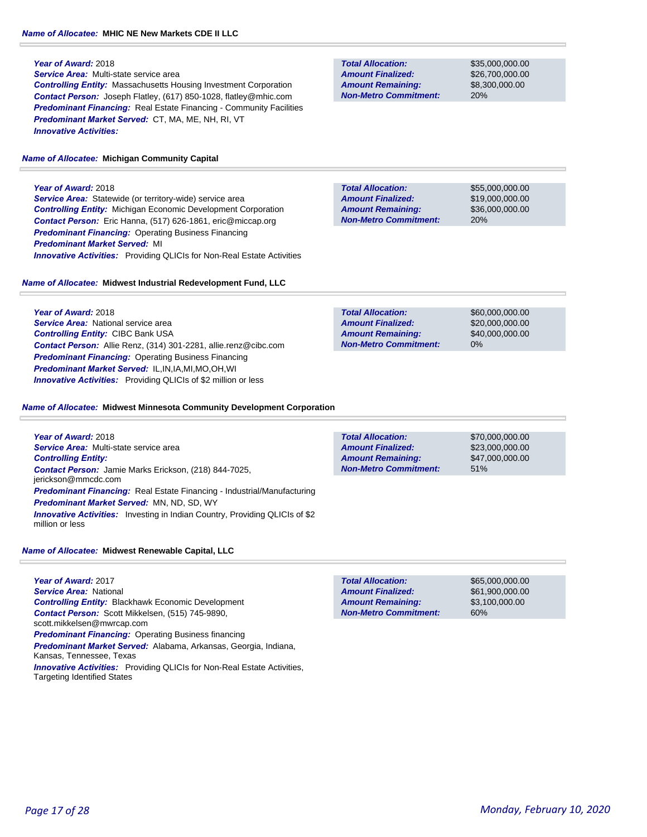### *Name of Allocatee:* **MHIC NE New Markets CDE II LLC**

### **Year of Award:** 2018

*Service Area:* Multi-state service area *Controlling Entity:* Massachusetts Housing Investment Corporation *Contact Person:* Joseph Flatley, (617) 850-1028, flatley@mhic.com *Predominant Financing:* Real Estate Financing - Community Facilities *Predominant Market Served:* CT, MA, ME, NH, RI, VT *Innovative Activities:* 

### *Name of Allocatee:* **Michigan Community Capital**

### **Year of Award:** 2018

*Service Area:* Statewide (or territory-wide) service area *Controlling Entity:* Michigan Economic Development Corporation *Contact Person:* Eric Hanna, (517) 626-1861, eric@miccap.org *Predominant Financing:* Operating Business Financing *Predominant Market Served:* MI *Innovative Activities:* Providing QLICIs for Non-Real Estate Activities

### *Name of Allocatee:* **Midwest Industrial Redevelopment Fund, LLC**

**Year of Award:** 2018 **Service Area:** National service area *Controlling Entity:* CIBC Bank USA *Contact Person:* Allie Renz, (314) 301-2281, allie.renz@cibc.com *Predominant Financing: Operating Business Financing Predominant Market Served:* IL,IN,IA,MI,MO,OH,WI *Innovative Activities:* Providing QLICIs of \$2 million or less

\$60,000,000.00 \$20,000,000.00 \$40,000,000.00 0% **Total Allocation: Non-Metro Commitment: Amount Remaining: Amount Finalized:**

### *Name of Allocatee:* **Midwest Minnesota Community Development Corporation**

**Year of Award:** 2018 *Service Area:* Multi-state service area \$70,000,000.00 \$23,000,000.00 \$47,000,000.00 51% **Total Allocation: Non-Metro Commitment: Amount Remaining: Amount Finalized:** *Controlling Entity: Contact Person:* Jamie Marks Erickson, (218) 844-7025, jerickson@mmcdc.com *Predominant Financing:* Real Estate Financing - Industrial/Manufacturing *Predominant Market Served:* MN, ND, SD, WY **Innovative Activities:** Investing in Indian Country, Providing QLICIs of \$2 million or less

### *Name of Allocatee:* **Midwest Renewable Capital, LLC**

**Year of Award:** 2017 *Service Area:* National *Controlling Entity:* Blackhawk Economic Development *Contact Person:* Scott Mikkelsen, (515) 745-9890, scott.mikkelsen@mwrcap.com **Predominant Financing: Operating Business financing** *Predominant Market Served:* Alabama, Arkansas, Georgia, Indiana, Kansas, Tennessee, Texas *Innovative Activities:* Providing QLICIs for Non-Real Estate Activities, Targeting Identified States

**Total Allocation: Non-Metro Commitment: Amount Remaining: Amount Finalized:**

\$65,000,000.00 \$61,900,000.00 \$3,100,000.00 60%

*Page 17 of 28 Monday, February 10, 2020*

**Total Allocation: Non-Metro Commitment: Amount Remaining: Amount Finalized:**

\$35,000,000.00 \$26,700,000.00 \$8,300,000.00 20%

\$55,000,000.00 \$19,000,000.00 \$36,000,000.00 20% **Total Allocation: Non-Metro Commitment: Amount Remaining: Amount Finalized:**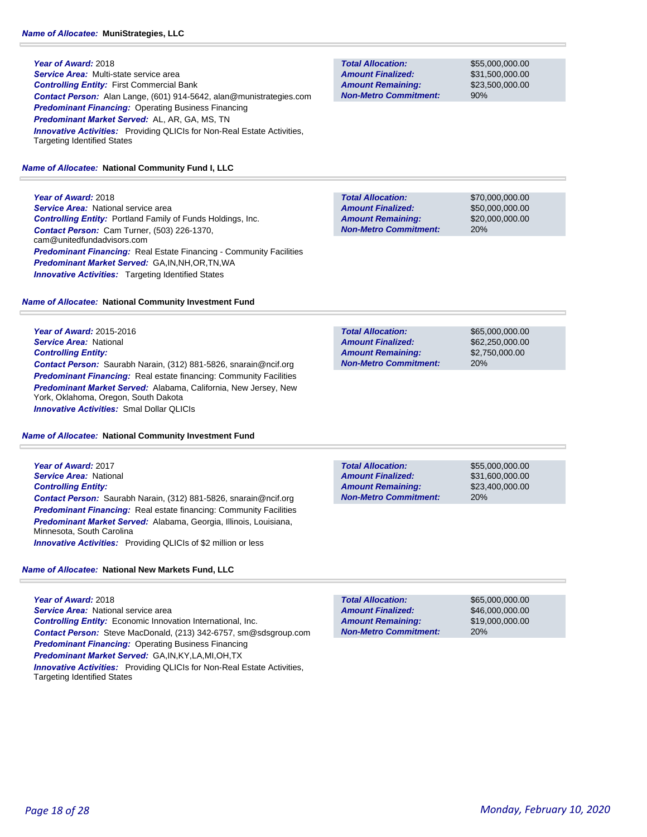*Service Area:* Multi-state service area *Controlling Entity:* First Commercial Bank *Contact Person:* Alan Lange, (601) 914-5642, alan@munistrategies.com *Predominant Financing:* Operating Business Financing *Predominant Market Served:* AL, AR, GA, MS, TN **Innovative Activities:** Providing QLICIs for Non-Real Estate Activities, Targeting Identified States

### *Name of Allocatee:* **National Community Fund I, LLC**

**Year of Award:** 2018 *Service Area:* National service area *Controlling Entity:* Portland Family of Funds Holdings, Inc. *Contact Person:* Cam Turner, (503) 226-1370, cam@unitedfundadvisors.com **Predominant Financing:** Real Estate Financing - Community Facilities *Predominant Market Served:* GA,IN,NH,OR,TN,WA **Innovative Activities:** Targeting Identified States

### *Name of Allocatee:* **National Community Investment Fund**

**Year of Award:** 2015-2016 *Service Area:* National *Controlling Entity: Contact Person:* Saurabh Narain, (312) 881-5826, snarain@ncif.org **Predominant Financing:** Real estate financing: Community Facilities *Predominant Market Served:* Alabama, California, New Jersey, New York, Oklahoma, Oregon, South Dakota *Innovative Activities:* Smal Dollar QLICIs

### *Name of Allocatee:* **National Community Investment Fund**

**Year of Award:** 2017 *Service Area:* National *Controlling Entity: Contact Person:* Saurabh Narain, (312) 881-5826, snarain@ncif.org **Predominant Financing:** Real estate financing: Community Facilities *Predominant Market Served:* Alabama, Georgia, Illinois, Louisiana, Minnesota, South Carolina *Innovative Activities:* Providing QLICIs of \$2 million or less

### *Name of Allocatee:* **National New Markets Fund, LLC**

**Year of Award:** 2018 **Service Area:** National service area *Controlling Entity:* Economic Innovation International, Inc. *Contact Person:* Steve MacDonald, (213) 342-6757, sm@sdsgroup.com *Predominant Financing:* Operating Business Financing *Predominant Market Served:* GA,IN,KY,LA,MI,OH,TX *Innovative Activities:* Providing QLICIs for Non-Real Estate Activities, Targeting Identified States

**Total Allocation: Non-Metro Commitment: Amount Remaining: Amount Finalized:**

\$55,000,000.00 \$31,500,000.00 \$23,500,000.00 90%

\$70,000,000.00 \$50,000,000.00 \$20,000,000.00 20% **Total Allocation: Non-Metro Commitment: Amount Remaining: Amount Finalized:**

**Total Allocation: Non-Metro Commitment: Amount Remaining: Amount Finalized:**

\$65,000,000.00 \$62,250,000.00 \$2,750,000.00 20%

**Total Allocation: Non-Metro Commitment: Amount Remaining: Amount Finalized:**

\$55,000,000.00 \$31,600,000.00 \$23,400,000.00 20%

\$65,000,000.00 \$46,000,000.00 \$19,000,000.00 20% **Total Allocation: Non-Metro Commitment: Amount Remaining: Amount Finalized:**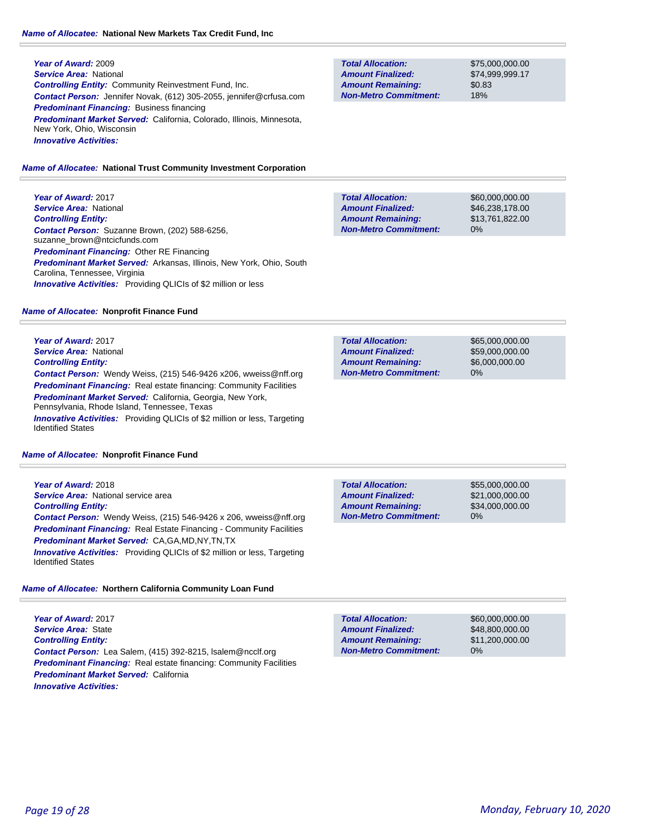**Year of Award:** 2009 *Service Area:* National *Controlling Entity:* Community Reinvestment Fund, Inc. *Contact Person:* Jennifer Novak, (612) 305-2055, jennifer@crfusa.com *Predominant Financing:* Business financing *Predominant Market Served:* California, Colorado, Illinois, Minnesota, New York, Ohio, Wisconsin *Innovative Activities:* 

#### *Name of Allocatee:* **National Trust Community Investment Corporation**

**Year of Award:** 2017 *Service Area:* National *Controlling Entity: Contact Person:* Suzanne Brown, (202) 588-6256, suzanne\_brown@ntcicfunds.com *Predominant Financing:* Other RE Financing *Predominant Market Served:* Arkansas, Illinois, New York, Ohio, South Carolina, Tennessee, Virginia *Innovative Activities:* Providing QLICIs of \$2 million or less

#### *Name of Allocatee:* **Nonprofit Finance Fund**

**Year of Award:** 2017 *Service Area:* National *Controlling Entity: Contact Person:* Wendy Weiss, (215) 546-9426 x206, wweiss@nff.org **Predominant Financing:** Real estate financing: Community Facilities *Predominant Market Served:* California, Georgia, New York, Pennsylvania, Rhode Island, Tennessee, Texas *Innovative Activities:* Providing QLICIs of \$2 million or less, Targeting Identified States

#### *Name of Allocatee:* **Nonprofit Finance Fund**

**Year of Award:** 2018 *Service Area:* National service area *Controlling Entity: Contact Person:* Wendy Weiss, (215) 546-9426 x 206, wweiss@nff.org *Predominant Financing:* Real Estate Financing - Community Facilities *Predominant Market Served:* CA,GA,MD,NY,TN,TX *Innovative Activities:* Providing QLICIs of \$2 million or less, Targeting Identified States

### *Name of Allocatee:* **Northern California Community Loan Fund**

**Year of Award:** 2017 *Service Area:* State *Controlling Entity: Contact Person:* Lea Salem, (415) 392-8215, lsalem@ncclf.org **Predominant Financing:** Real estate financing: Community Facilities *Predominant Market Served:* California *Innovative Activities:* 

**Total Allocation: Non-Metro Commitment: Amount Remaining: Amount Finalized:**

\$75,000,000.00 \$74,999,999.17 \$0.83 18%

\$60,000,000.00 \$46,238,178.00 \$13,761,822.00 0% **Total Allocation: Non-Metro Commitment: Amount Remaining: Amount Finalized:**

\$65,000,000.00 \$59,000,000.00 \$6,000,000.00 0% **Total Allocation: Non-Metro Commitment: Amount Remaining: Amount Finalized:**

**Total Allocation: Non-Metro Commitment: Amount Remaining: Amount Finalized:**

\$55,000,000.00 \$21,000,000.00 \$34,000,000.00 0%

\$60,000,000.00 \$48,800,000.00 \$11,200,000.00 0% **Total Allocation: Non-Metro Commitment: Amount Remaining: Amount Finalized:**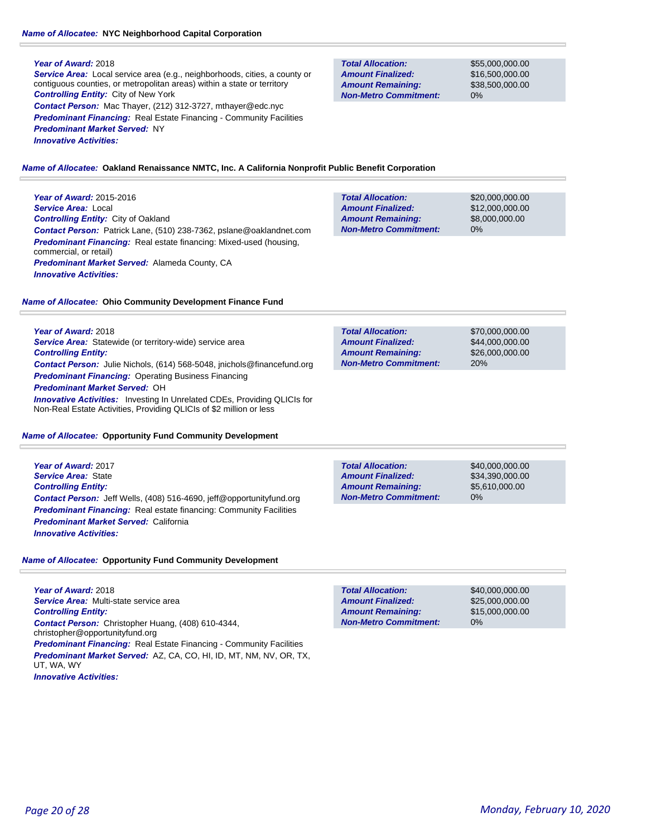### *Name of Allocatee:* **NYC Neighborhood Capital Corporation**

### **Year of Award:** 2018

*Service Area:* Local service area (e.g., neighborhoods, cities, a county or contiguous counties, or metropolitan areas) within a state or territory *Controlling Entity:* City of New York *Contact Person:* Mac Thayer, (212) 312-3727, mthayer@edc.nyc **Predominant Financing:** Real Estate Financing - Community Facilities *Predominant Market Served:* NY *Innovative Activities:* 

**Total Allocation: Non-Metro Commitment: Amount Remaining: Amount Finalized:**

**Total Allocation:**

**Non-Metro Commitment: Amount Remaining: Amount Finalized:**

\$55,000,000.00 \$16,500,000.00 \$38,500,000.00 0%

\$20,000,000.00 \$12,000,000.00 \$8,000,000.00

0%

#### *Name of Allocatee:* **Oakland Renaissance NMTC, Inc. A California Nonprofit Public Benefit Corporation**

**Year of Award:** 2015-2016 *Service Area:* Local *Controlling Entity:* City of Oakland *Contact Person:* Patrick Lane, (510) 238-7362, pslane@oaklandnet.com *Predominant Financing:* Real estate financing: Mixed-used (housing, commercial, or retail) *Predominant Market Served:* Alameda County, CA *Innovative Activities:* 

#### *Name of Allocatee:* **Ohio Community Development Finance Fund**

**Year of Award:** 2018

*Service Area:* Statewide (or territory-wide) service area *Controlling Entity: Contact Person:* Julie Nichols, (614) 568-5048, jnichols@financefund.org *Predominant Financing:* Operating Business Financing *Predominant Market Served:* OH

**Innovative Activities:** Investing In Unrelated CDEs, Providing QLICIs for Non-Real Estate Activities, Providing QLICIs of \$2 million or less

#### *Name of Allocatee:* **Opportunity Fund Community Development**

**Year of Award:** 2017 *Service Area:* State *Controlling Entity: Contact Person:* Jeff Wells, (408) 516-4690, jeff@opportunityfund.org **Predominant Financing:** Real estate financing: Community Facilities *Predominant Market Served:* California *Innovative Activities:* 

### *Name of Allocatee:* **Opportunity Fund Community Development**

**Year of Award:** 2018 *Service Area:* Multi-state service area *Controlling Entity: Contact Person:* Christopher Huang, (408) 610-4344, christopher@opportunityfund.org **Predominant Financing:** Real Estate Financing - Community Facilities *Predominant Market Served:* AZ, CA, CO, HI, ID, MT, NM, NV, OR, TX, UT, WA, WY *Innovative Activities:* 

\$70,000,000.00 \$44,000,000.00 \$26,000,000.00 20% **Total Allocation: Non-Metro Commitment: Amount Remaining: Amount Finalized:**

0% **Total Allocation: Non-Metro Commitment: Amount Remaining: Amount Finalized:**

\$40,000,000.00 \$34,390,000.00 \$5,610,000.00

\$40,000,000.00 \$25,000,000.00 \$15,000,000.00 0% **Total Allocation: Non-Metro Commitment: Amount Remaining: Amount Finalized:**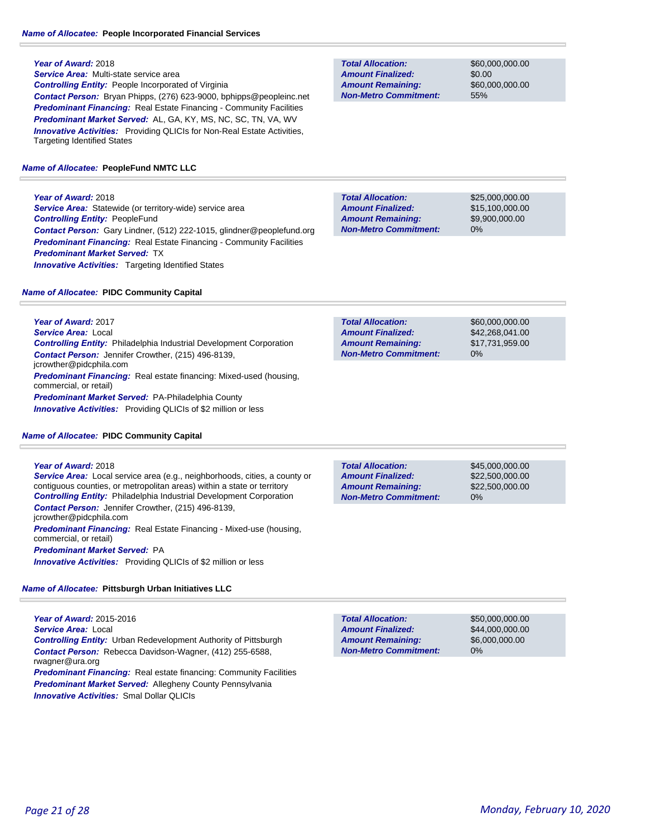*Service Area:* Multi-state service area *Controlling Entity:* People Incorporated of Virginia *Contact Person:* Bryan Phipps, (276) 623-9000, bphipps@peopleinc.net *Predominant Financing:* Real Estate Financing - Community Facilities *Predominant Market Served:* AL, GA, KY, MS, NC, SC, TN, VA, WV **Innovative Activities:** Providing QLICIs for Non-Real Estate Activities, Targeting Identified States

#### *Name of Allocatee:* **PeopleFund NMTC LLC**

**Year of Award:** 2018 **Service Area:** Statewide (or territory-wide) service area *Controlling Entity:* PeopleFund *Contact Person:* Gary Lindner, (512) 222-1015, glindner@peoplefund.org **Predominant Financing:** Real Estate Financing - Community Facilities *Predominant Market Served:* TX **Innovative Activities:** Targeting Identified States

#### *Name of Allocatee:* **PIDC Community Capital**

**Total Allocation: Non-Metro Commitment: Amount Remaining: Amount Finalized:**

\$60,000,000.00 \$0.00 \$60,000,000.00 55%

0% **Total Allocation: Non-Metro Commitment: Amount Remaining: Amount Finalized:**

\$25,000,000.00 \$15,100,000.00 \$9,900,000.00

| <b>Total Allocation:</b>     | \$60,000,000,00 |
|------------------------------|-----------------|
| <b>Amount Finalized:</b>     | \$42,268,041,00 |
| <b>Amount Remaining:</b>     | \$17.731.959.00 |
| <b>Non-Metro Commitment:</b> | $0\%$           |

*Predominant Financing:* Real estate financing: Mixed-used (housing, commercial, or retail) *Predominant Market Served:* PA-Philadelphia County *Innovative Activities:* Providing QLICIs of \$2 million or less

*Contact Person:* Jennifer Crowther, (215) 496-8139,

*Controlling Entity:* Philadelphia Industrial Development Corporation

#### *Name of Allocatee:* **PIDC Community Capital**

#### **Year of Award:** 2018

**Year of Award:** 2017 *Service Area:* Local

jcrowther@pidcphila.com

*Service Area:* Local service area (e.g., neighborhoods, cities, a county or contiguous counties, or metropolitan areas) within a state or territory **Controlling Entity:** Philadelphia Industrial Development Corporation *Contact Person:* Jennifer Crowther, (215) 496-8139, jcrowther@pidcphila.com *Predominant Financing:* Real Estate Financing - Mixed-use (housing, commercial, or retail) *Predominant Market Served:* PA *Innovative Activities:* Providing QLICIs of \$2 million or less

#### *Name of Allocatee:* **Pittsburgh Urban Initiatives LLC**

**Year of Award:** 2015-2016 *Service Area:* Local *Controlling Entity:* Urban Redevelopment Authority of Pittsburgh *Contact Person:* Rebecca Davidson-Wagner, (412) 255-6588, rwagner@ura.org **Predominant Financing:** Real estate financing: Community Facilities *Predominant Market Served:* Allegheny County Pennsylvania

*Innovative Activities:* Smal Dollar QLICIs

| <b>Total Allocation:</b>     | \$45,000,000,00 |
|------------------------------|-----------------|
| <b>Amount Finalized:</b>     | \$22,500,000,00 |
| <b>Amount Remaining:</b>     | \$22,500,000,00 |
| <b>Non-Metro Commitment:</b> | $0\%$           |

**Total Allocation: Non-Metro Commitment: Amount Remaining: Amount Finalized:**

\$50,000,000.00 \$44,000,000.00 \$6,000,000.00 0%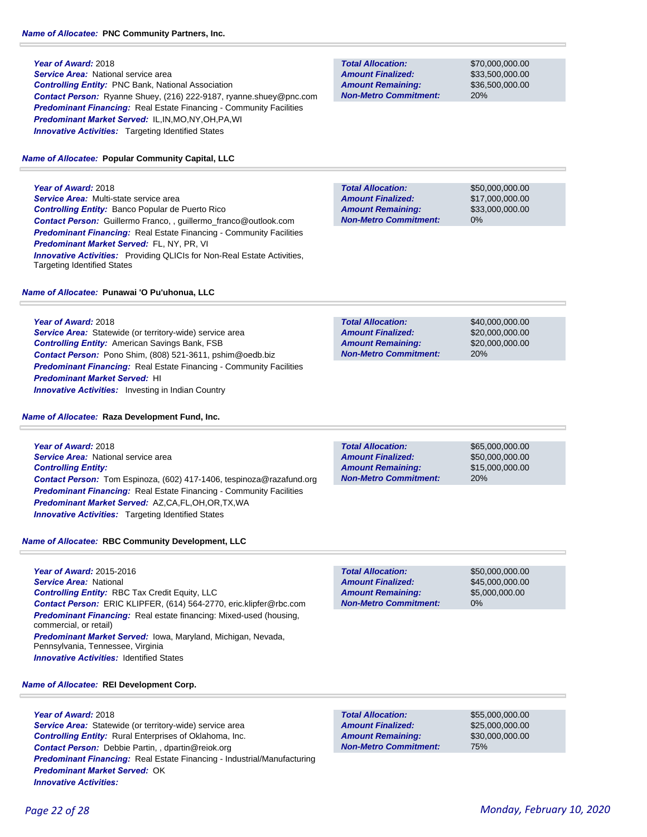**Year of Award:** 2018 *Service Area:* National service area *Controlling Entity:* PNC Bank, National Association *Contact Person:* Ryanne Shuey, (216) 222-9187, ryanne.shuey@pnc.com **Predominant Financing:** Real Estate Financing - Community Facilities *Predominant Market Served:* IL,IN,MO,NY,OH,PA,WI **Innovative Activities:** Targeting Identified States

*Name of Allocatee:* **Popular Community Capital, LLC**

**Year of Award:** 2018 *Service Area:* Multi-state service area *Controlling Entity:* Banco Popular de Puerto Rico *Contact Person:* Guillermo Franco, , guillermo\_franco@outlook.com **Predominant Financing:** Real Estate Financing - Community Facilities *Predominant Market Served:* FL, NY, PR, VI *Innovative Activities:* Providing QLICIs for Non-Real Estate Activities, Targeting Identified States

#### *Name of Allocatee:* **Punawai 'O Pu'uhonua, LLC**

**Year of Award:** 2018 *Service Area:* Statewide (or territory-wide) service area *Controlling Entity:* American Savings Bank, FSB *Contact Person:* Pono Shim, (808) 521-3611, pshim@oedb.biz *Predominant Financing:* Real Estate Financing - Community Facilities *Predominant Market Served:* HI **Innovative Activities:** Investing in Indian Country

#### *Name of Allocatee:* **Raza Development Fund, Inc.**

**Year of Award:** 2018 **Service Area:** National service area *Controlling Entity: Contact Person:* Tom Espinoza, (602) 417-1406, tespinoza@razafund.org **Predominant Financing:** Real Estate Financing - Community Facilities *Predominant Market Served:* AZ,CA,FL,OH,OR,TX,WA *Innovative Activities:* Targeting Identified States

### *Name of Allocatee:* **RBC Community Development, LLC**

**Year of Award:** 2015-2016 *Service Area:* National *Controlling Entity:* RBC Tax Credit Equity, LLC *Contact Person:* ERIC KLIPFER, (614) 564-2770, eric.klipfer@rbc.com *Predominant Financing:* Real estate financing: Mixed-used (housing, commercial, or retail) *Predominant Market Served:* Iowa, Maryland, Michigan, Nevada, Pennsylvania, Tennessee, Virginia *Innovative Activities:* Identified States

*Name of Allocatee:* **REI Development Corp.**

**Year of Award:** 2018 **Service Area:** Statewide (or territory-wide) service area *Controlling Entity:* Rural Enterprises of Oklahoma, Inc. *Contact Person:* Debbie Partin, , dpartin@reiok.org *Predominant Financing:* Real Estate Financing - Industrial/Manufacturing *Predominant Market Served:* OK *Innovative Activities:* 

**Total Allocation: Non-Metro Commitment: Amount Remaining: Amount Finalized:**

\$70,000,000.00 \$33,500,000.00 \$36,500,000.00 20%

**Total Allocation: Non-Metro Commitment: Amount Remaining: Amount Finalized:**

\$50,000,000.00 \$17,000,000.00 \$33,000,000.00 0%

\$40,000,000.00 \$20,000,000.00 \$20,000,000.00 20% **Total Allocation: Non-Metro Commitment: Amount Remaining: Amount Finalized:**

20% **Total Allocation: Non-Metro Commitment: Amount Remaining: Amount Finalized:**

\$65,000,000.00 \$50,000,000.00 \$15,000,000.00

**Total Allocation: Non-Metro Commitment: Amount Remaining: Amount Finalized:**

\$50,000,000.00 \$45,000,000.00 \$5,000,000.00 0%

**Total Allocation: Non-Metro Commitment: Amount Remaining: Amount Finalized:**

\$55,000,000.00 \$25,000,000.00 \$30,000,000.00 75%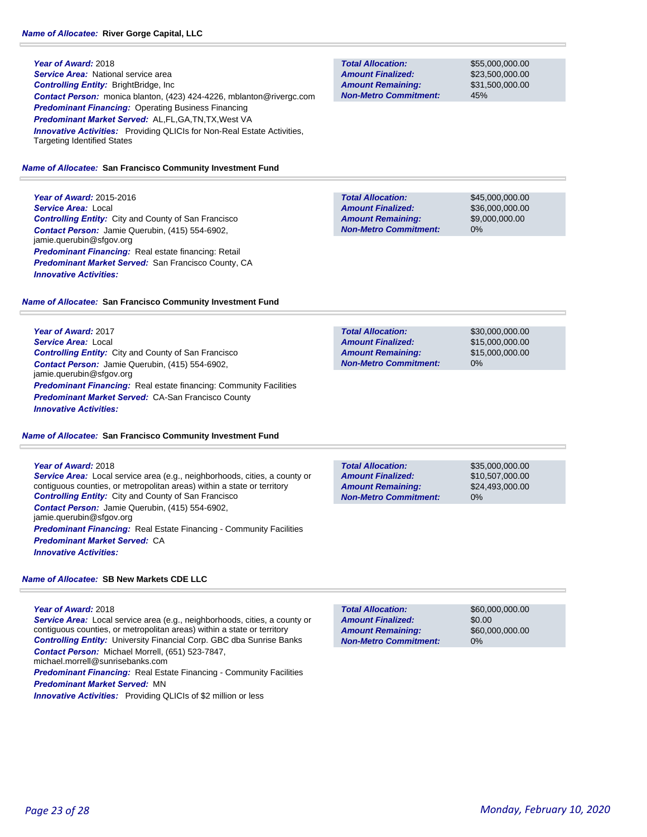**Year of Award:** 2018 *Service Area:* National service area *Controlling Entity:* BrightBridge, Inc *Contact Person:* monica blanton, (423) 424-4226, mblanton@rivergc.com *Predominant Financing:* Operating Business Financing *Predominant Market Served:* AL,FL,GA,TN,TX,West VA **Innovative Activities:** Providing QLICIs for Non-Real Estate Activities, Targeting Identified States

#### *Name of Allocatee:* **San Francisco Community Investment Fund**

**Year of Award:** 2015-2016 *Service Area:* Local *Controlling Entity:* City and County of San Francisco *Contact Person:* Jamie Querubin, (415) 554-6902, jamie.querubin@sfgov.org *Predominant Financing:* Real estate financing: Retail *Predominant Market Served:* San Francisco County, CA *Innovative Activities:* 

#### *Name of Allocatee:* **San Francisco Community Investment Fund**

**Year of Award:** 2017 *Service Area:* Local *Controlling Entity:* City and County of San Francisco *Contact Person:* Jamie Querubin, (415) 554-6902, jamie.querubin@sfgov.org *Predominant Financing:* Real estate financing: Community Facilities *Predominant Market Served:* CA-San Francisco County *Innovative Activities:* 

#### *Name of Allocatee:* **San Francisco Community Investment Fund**

#### **Year of Award:** 2018

*Service Area:* Local service area (e.g., neighborhoods, cities, a county or contiguous counties, or metropolitan areas) within a state or territory *Controlling Entity:* City and County of San Francisco *Contact Person:* Jamie Querubin, (415) 554-6902, jamie.querubin@sfgov.org **Predominant Financing:** Real Estate Financing - Community Facilities *Predominant Market Served:* CA *Innovative Activities:* 

#### *Name of Allocatee:* **SB New Markets CDE LLC**

**Year of Award:** 2018 *Service Area:* Local service area (e.g., neighborhoods, cities, a county or contiguous counties, or metropolitan areas) within a state or territory *Controlling Entity:* University Financial Corp. GBC dba Sunrise Banks *Contact Person:* Michael Morrell, (651) 523-7847, michael.morrell@sunrisebanks.com **Predominant Financing:** Real Estate Financing - Community Facilities

*Predominant Market Served:* MN

*Innovative Activities:* Providing QLICIs of \$2 million or less

**Total Allocation: Non-Metro Commitment: Amount Remaining: Amount Finalized:**

\$55,000,000.00 \$23,500,000.00 \$31,500,000.00 45%

\$45,000,000.00 \$36,000,000.00 \$9,000,000.00 0% **Total Allocation: Non-Metro Commitment: Amount Remaining: Amount Finalized:**

**Total Allocation: Non-Metro Commitment: Amount Remaining: Amount Finalized:**

\$30,000,000.00 \$15,000,000.00 \$15,000,000.00 0%

**Total Allocation: Non-Metro Commitment: Amount Remaining: Amount Finalized:**

\$35,000,000.00 \$10,507,000.00 \$24,493,000.00 0%

\$60,000,000.00 \$0.00 \$60,000,000.00 0% **Total Allocation: Non-Metro Commitment: Amount Remaining: Amount Finalized:**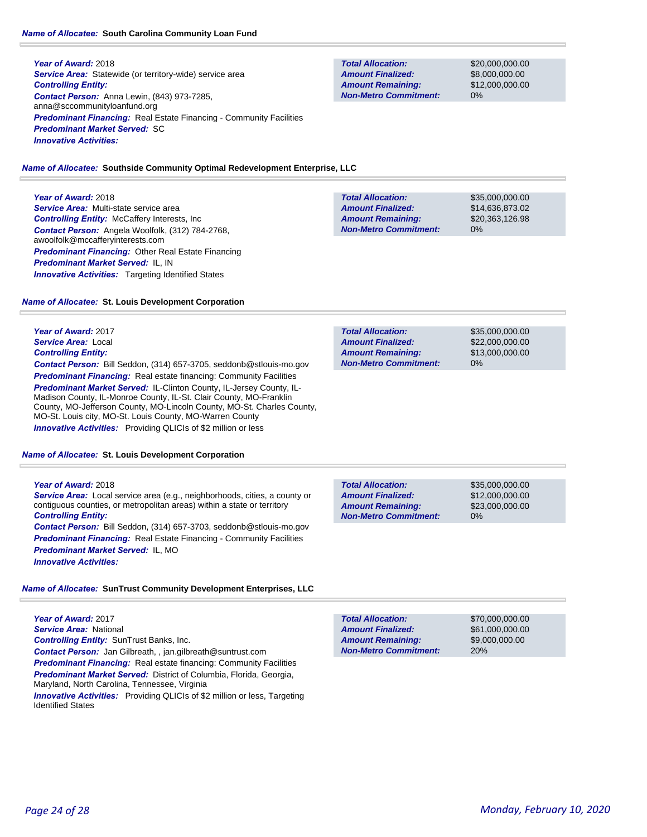#### *Name of Allocatee:* **South Carolina Community Loan Fund**

**Year of Award:** 2018 **Service Area:** Statewide (or territory-wide) service area *Controlling Entity: Contact Person:* Anna Lewin, (843) 973-7285, anna@sccommunityloanfund.org **Predominant Financing:** Real Estate Financing - Community Facilities *Predominant Market Served:* SC *Innovative Activities:* 

**Total Allocation: Non-Metro Commitment: Amount Remaining: Amount Finalized:**

\$20,000,000.00 \$8,000,000.00 \$12,000,000.00 0%

#### *Name of Allocatee:* **Southside Community Optimal Redevelopment Enterprise, LLC**

### **Year of Award:** 2018

*Service Area:* Multi-state service area *Controlling Entity:* McCaffery Interests, Inc *Contact Person:* Angela Woolfolk, (312) 784-2768, awoolfolk@mccafferyinterests.com *Predominant Financing:* Other Real Estate Financing *Predominant Market Served:* IL, IN **Innovative Activities:** Targeting Identified States

\$35,000,000.00 \$14,636,873.02 \$20,363,126.98 0% **Total Allocation: Non-Metro Commitment: Amount Remaining: Amount Finalized:**

#### *Name of Allocatee:* **St. Louis Development Corporation**

### **Year of Award:** 2017 *Service Area:* Local *Controlling Entity:*

*Contact Person:* Bill Seddon, (314) 657-3705, seddonb@stlouis-mo.gov **Predominant Financing:** Real estate financing: Community Facilities

*Predominant Market Served:* IL-Clinton County, IL-Jersey County, IL-Madison County, IL-Monroe County, IL-St. Clair County, MO-Franklin County, MO-Jefferson County, MO-Lincoln County, MO-St. Charles County, MO-St. Louis city, MO-St. Louis County, MO-Warren County *Innovative Activities:* Providing QLICIs of \$2 million or less

#### *Name of Allocatee:* **St. Louis Development Corporation**

#### **Year of Award:** 2018

*Service Area:* Local service area (e.g., neighborhoods, cities, a county or contiguous counties, or metropolitan areas) within a state or territory *Controlling Entity:* 

*Contact Person:* Bill Seddon, (314) 657-3703, seddonb@stlouis-mo.gov **Predominant Financing:** Real Estate Financing - Community Facilities *Predominant Market Served:* IL, MO *Innovative Activities:* 

#### *Name of Allocatee:* **SunTrust Community Development Enterprises, LLC**

**Year of Award:** 2017 *Service Area:* National *Controlling Entity:* SunTrust Banks, Inc. *Contact Person:* Jan Gilbreath, , jan.gilbreath@suntrust.com *Predominant Financing:* Real estate financing: Community Facilities *Predominant Market Served:* District of Columbia, Florida, Georgia, Maryland, North Carolina, Tennessee, Virginia *Innovative Activities:* Providing QLICIs of \$2 million or less, Targeting Identified States

| <b>Total Allocation:</b>     | \$35,000,000,00 |
|------------------------------|-----------------|
| <b>Amount Finalized:</b>     | \$22,000,000,00 |
| <b>Amount Remaining:</b>     | \$13,000,000,00 |
| <b>Non-Metro Commitment:</b> | $0\%$           |

**Total Allocation: Non-Metro Commitment: Amount Remaining: Amount Finalized:**

\$35,000,000.00 \$12,000,000.00 \$23,000,000.00 0%

| \$70,000,000,00 |
|-----------------|
| \$61,000,000,00 |
| \$9,000,000,00  |
| 20%             |
|                 |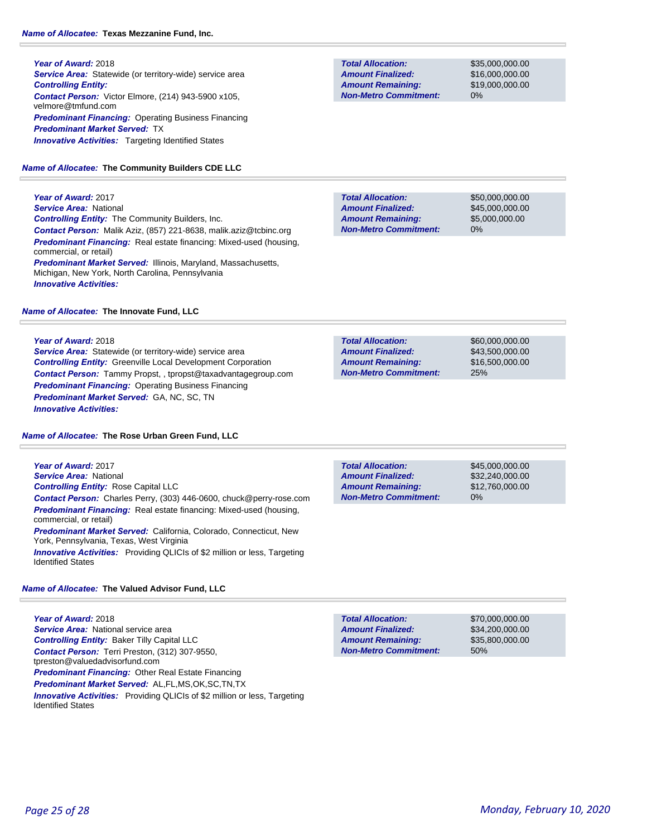**Year of Award:** 2018 **Service Area:** Statewide (or territory-wide) service area *Controlling Entity: Contact Person:* Victor Elmore, (214) 943-5900 x105, velmore@tmfund.com **Predominant Financing: Operating Business Financing** *Predominant Market Served:* TX **Innovative Activities:** Targeting Identified States

*Name of Allocatee:* **The Community Builders CDE LLC**

**Year of Award:** 2017 *Service Area:* National *Controlling Entity:* The Community Builders, Inc. *Contact Person:* Malik Aziz, (857) 221-8638, malik.aziz@tcbinc.org *Predominant Financing:* Real estate financing: Mixed-used (housing, commercial, or retail) *Predominant Market Served:* Illinois, Maryland, Massachusetts, Michigan, New York, North Carolina, Pennsylvania *Innovative Activities:* 

#### *Name of Allocatee:* **The Innovate Fund, LLC**

#### **Year of Award:** 2018

*Service Area:* Statewide (or territory-wide) service area *Controlling Entity:* Greenville Local Development Corporation *Contact Person:* Tammy Propst, , tpropst@taxadvantagegroup.com *Predominant Financing: Operating Business Financing Predominant Market Served:* GA, NC, SC, TN *Innovative Activities:* 

*Name of Allocatee:* **The Rose Urban Green Fund, LLC**

### **Year of Award:** 2017 *Service Area:* National *Controlling Entity:* Rose Capital LLC *Contact Person:* Charles Perry, (303) 446-0600, chuck@perry-rose.com *Predominant Financing:* Real estate financing: Mixed-used (housing, commercial, or retail) *Predominant Market Served:* California, Colorado, Connecticut, New

York, Pennsylvania, Texas, West Virginia *Innovative Activities:* Providing QLICIs of \$2 million or less, Targeting Identified States

#### *Name of Allocatee:* **The Valued Advisor Fund, LLC**

**Year of Award:** 2018 **Service Area:** National service area *Controlling Entity:* Baker Tilly Capital LLC *Contact Person:* Terri Preston, (312) 307-9550, tpreston@valuedadvisorfund.com *Predominant Financing:* Other Real Estate Financing *Predominant Market Served:* AL,FL,MS,OK,SC,TN,TX *Innovative Activities:* Providing QLICIs of \$2 million or less, Targeting Identified States

**Total Allocation: Non-Metro Commitment: Amount Remaining: Amount Finalized:**

\$35,000,000.00 \$16,000,000.00 \$19,000,000.00 0%

\$50,000,000.00 \$45,000,000.00 \$5,000,000.00 0% **Total Allocation: Non-Metro Commitment: Amount Remaining: Amount Finalized:**

\$60,000,000.00 \$43,500,000.00 \$16,500,000.00 25% **Total Allocation: Non-Metro Commitment: Amount Remaining: Amount Finalized:**

\$45,000,000.00 \$32,240,000.00 \$12,760,000.00 0% **Total Allocation: Non-Metro Commitment: Amount Remaining: Amount Finalized:**

50% **Total Allocation: Non-Metro Commitment: Amount Remaining: Amount Finalized:**

\$70,000,000.00 \$34,200,000.00 \$35,800,000.00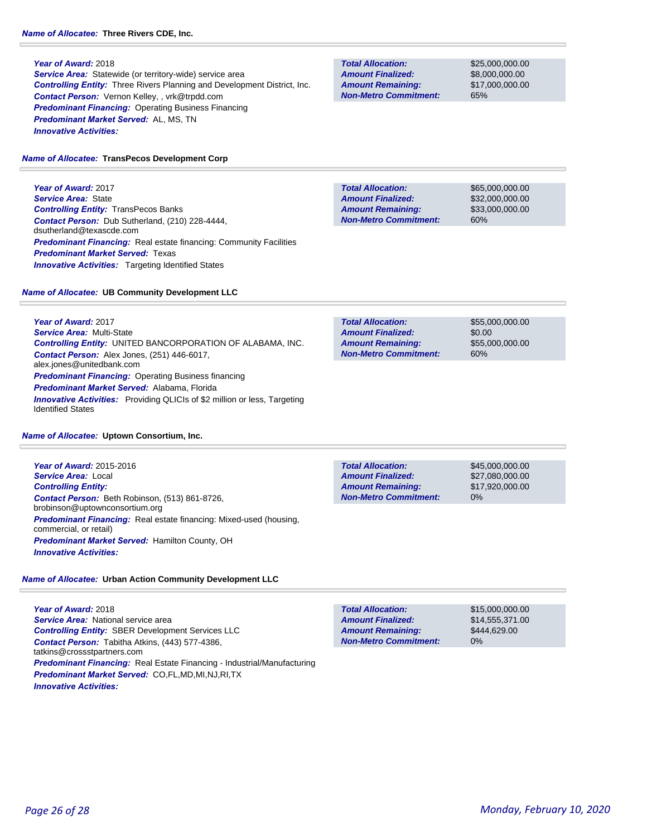**Service Area:** Statewide (or territory-wide) service area *Controlling Entity:* Three Rivers Planning and Development District, Inc. *Contact Person:* Vernon Kelley, , vrk@trpdd.com *Predominant Financing:* Operating Business Financing *Predominant Market Served:* AL, MS, TN *Innovative Activities:* 

#### *Name of Allocatee:* **TransPecos Development Corp**

**Year of Award:** 2017 *Service Area:* State *Controlling Entity:* TransPecos Banks *Contact Person:* Dub Sutherland, (210) 228-4444, dsutherland@texascde.com **Predominant Financing:** Real estate financing: Community Facilities *Predominant Market Served:* Texas **Innovative Activities:** Targeting Identified States

#### *Name of Allocatee:* **UB Community Development LLC**

**Year of Award:** 2017 *Service Area:* Multi-State *Controlling Entity:* UNITED BANCORPORATION OF ALABAMA, INC. *Contact Person:* Alex Jones, (251) 446-6017, alex.jones@unitedbank.com **Predominant Financing: Operating Business financing** *Predominant Market Served:* Alabama, Florida *Innovative Activities:* Providing QLICIs of \$2 million or less, Targeting Identified States

#### *Name of Allocatee:* **Uptown Consortium, Inc.**

**Year of Award:** 2015-2016 *Service Area:* Local *Controlling Entity: Contact Person:* Beth Robinson, (513) 861-8726, brobinson@uptownconsortium.org **Predominant Financing:** Real estate financing: Mixed-used (housing, commercial, or retail) *Predominant Market Served:* Hamilton County, OH *Innovative Activities:* 

### *Name of Allocatee:* **Urban Action Community Development LLC**

**Year of Award:** 2018 **Service Area:** National service area *Controlling Entity:* SBER Development Services LLC *Contact Person:* Tabitha Atkins, (443) 577-4386, tatkins@crossstpartners.com *Predominant Financing:* Real Estate Financing - Industrial/Manufacturing *Predominant Market Served:* CO,FL,MD,MI,NJ,RI,TX *Innovative Activities:* 

**Total Allocation: Non-Metro Commitment: Amount Remaining: Amount Finalized:**

\$25,000,000.00 \$8,000,000.00 \$17,000,000.00 65%

**Total Allocation: Non-Metro Commitment: Amount Remaining: Amount Finalized:**

\$65,000,000.00 \$32,000,000.00 \$33,000,000.00 60%

\$55,000,000.00 \$0.00 \$55,000,000.00 60% **Total Allocation: Non-Metro Commitment: Amount Remaining: Amount Finalized:**

**Total Allocation: Non-Metro Commitment: Amount Remaining: Amount Finalized:**

\$45,000,000.00 \$27,080,000.00 \$17,920,000.00 0%

**Total Allocation: Non-Metro Commitment: Amount Remaining: Amount Finalized:**

\$15,000,000.00 \$14,555,371.00 \$444,629.00 0%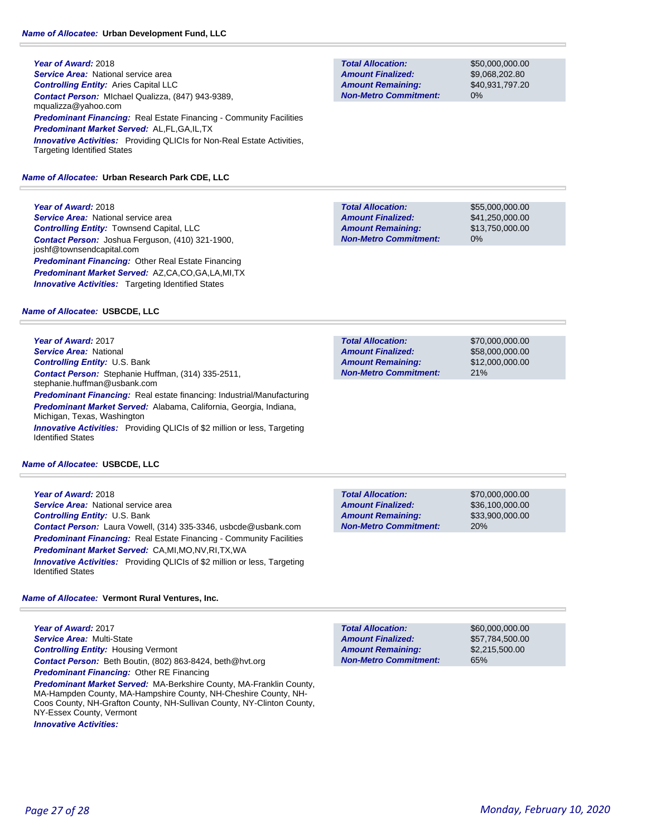**Year of Award:** 2018 *Service Area:* National service area *Controlling Entity:* Aries Capital LLC *Contact Person:* MIchael Qualizza, (847) 943-9389, mqualizza@yahoo.com **Predominant Financing:** Real Estate Financing - Community Facilities *Predominant Market Served:* AL,FL,GA,IL,TX *Innovative Activities:* Providing QLICIs for Non-Real Estate Activities, Targeting Identified States

### *Name of Allocatee:* **Urban Research Park CDE, LLC**

### **Year of Award:** 2018

**Service Area:** National service area *Controlling Entity:* Townsend Capital, LLC *Contact Person:* Joshua Ferguson, (410) 321-1900, joshf@townsendcapital.com *Predominant Financing:* Other Real Estate Financing *Predominant Market Served:* AZ,CA,CO,GA,LA,MI,TX **Innovative Activities:** Targeting Identified States

### *Name of Allocatee:* **USBCDE, LLC**

**Year of Award:** 2017 *Service Area:* National *Controlling Entity:* U.S. Bank *Contact Person:* Stephanie Huffman, (314) 335-2511, stephanie.huffman@usbank.com *Predominant Financing:* Real estate financing: Industrial/Manufacturing *Predominant Market Served:* Alabama, California, Georgia, Indiana, Michigan, Texas, Washington *Innovative Activities:* Providing QLICIs of \$2 million or less, Targeting Identified States

### *Name of Allocatee:* **USBCDE, LLC**

**Year of Award:** 2018 **Service Area:** National service area *Controlling Entity:* U.S. Bank *Contact Person:* Laura Vowell, (314) 335-3346, usbcde@usbank.com **Predominant Financing:** Real Estate Financing - Community Facilities *Predominant Market Served:* CA,MI,MO,NV,RI,TX,WA *Innovative Activities:* Providing QLICIs of \$2 million or less, Targeting Identified States

### *Name of Allocatee:* **Vermont Rural Ventures, Inc.**

**Year of Award:** 2017 *Service Area:* Multi-State *Controlling Entity:* Housing Vermont *Contact Person:* Beth Boutin, (802) 863-8424, beth@hvt.org *Predominant Financing:* Other RE Financing

*Predominant Market Served:* MA-Berkshire County, MA-Franklin County, MA-Hampden County, MA-Hampshire County, NH-Cheshire County, NH-Coos County, NH-Grafton County, NH-Sullivan County, NY-Clinton County, NY-Essex County, Vermont

*Innovative Activities:* 

\$36,100,000.00 \$33,900,000.00 20% **Amount Remaining: Amount Finalized:**

\$70,000,000.00

**Total Allocation: Non-Metro Commitment: Amount Remaining: Amount Finalized:**

\$50,000,000.00 \$9,068,202.80 \$40,931,797.20 0%

\$55,000,000.00 \$41,250,000.00 \$13,750,000.00 0% **Total Allocation: Non-Metro Commitment: Amount Remaining: Amount Finalized:**

\$70,000,000.00 \$58,000,000.00 \$12,000,000.00 21% **Total Allocation: Non-Metro Commitment: Amount Remaining: Amount Finalized:**

**Non-Metro Commitment:**

\$60,000,000.00 \$57,784,500.00 \$2,215,500.00 65% **Total Allocation: Non-Metro Commitment: Amount Remaining: Amount Finalized:**

**Total Allocation:**